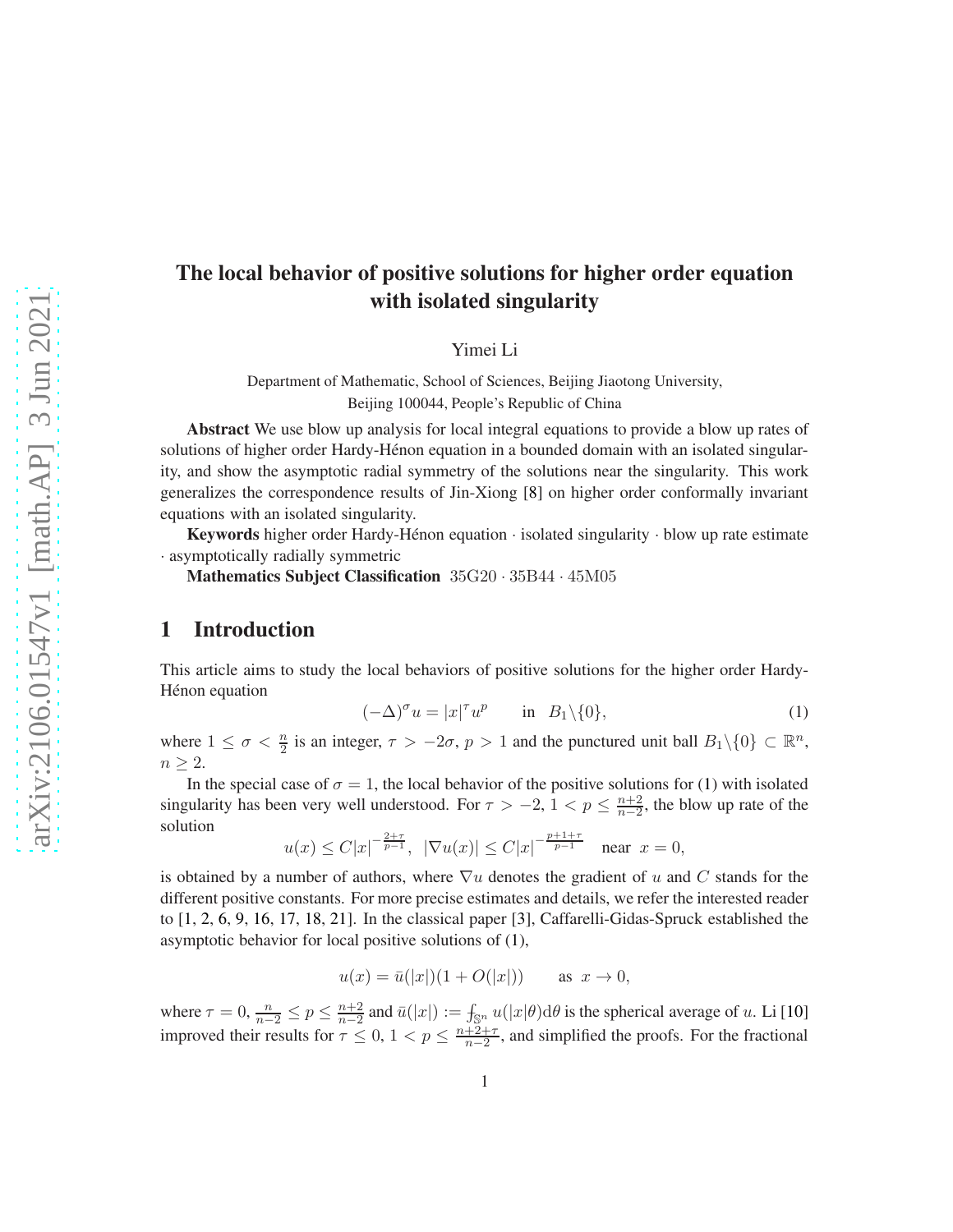# The local behavior of positive solutions for higher order equation with isolated singularity

Yimei Li

Department of Mathematic, School of Sciences, Beijing Jiaotong University, Beijing 100044, People's Republic of China

Abstract We use blow up analysis for local integral equations to provide a blow up rates of solutions of higher order Hardy-Hénon equation in a bounded domain with an isolated singularity, and show the asymptotic radial symmetry of the solutions near the singularity. This work generalizes the correspondence results of Jin-Xiong [\[8\]](#page-21-0) on higher order conformally invariant equations with an isolated singularity.

Keywords higher order Hardy-Hénon equation  $\cdot$  isolated singularity  $\cdot$  blow up rate estimate · asymptotically radially symmetric

Mathematics Subject Classification 35G20 · 35B44 · 45M05

### 1 Introduction

This article aims to study the local behaviors of positive solutions for the higher order Hardy-Hénon equation

<span id="page-0-0"></span>
$$
(-\Delta)^{\sigma} u = |x|^{\tau} u^{p} \quad \text{in} \quad B_1 \setminus \{0\}, \tag{1}
$$

where  $1 \leq \sigma < \frac{n}{2}$  is an integer,  $\tau > -2\sigma$ ,  $p > 1$  and the punctured unit ball  $B_1 \setminus \{0\} \subset \mathbb{R}^n$ ,  $n \geq 2$ .

In the special case of  $\sigma = 1$ , the local behavior of the positive solutions for [\(1\)](#page-0-0) with isolated singularity has been very well understood. For  $\tau > -2$ ,  $1 < p \leq \frac{n+2}{n-2}$  $\frac{n+2}{n-2}$ , the blow up rate of the solution

$$
u(x) \leq C|x|^{-\frac{2+\tau}{p-1}}, \ |\nabla u(x)| \leq C|x|^{-\frac{p+1+\tau}{p-1}} \quad \text{near } x = 0,
$$

is obtained by a number of authors, where  $\nabla u$  denotes the gradient of u and C stands for the different positive constants. For more precise estimates and details, we refer the interested reader to [\[1,](#page-21-1) [2,](#page-21-2) [6,](#page-21-3) [9,](#page-21-4) [16,](#page-22-0) [17,](#page-22-1) [18,](#page-22-2) [21\]](#page-22-3). In the classical paper [\[3\]](#page-21-5), Caffarelli-Gidas-Spruck established the asymptotic behavior for local positive solutions of [\(1\)](#page-0-0),

$$
u(x) = \bar{u}(|x|)(1 + O(|x|))
$$
 as  $x \to 0$ ,

where  $\tau = 0$ ,  $\frac{n}{n-2} \le p \le \frac{n+2}{n-2}$  $\frac{n+2}{n-2}$  and  $\bar{u}(|x|) := \int_{\mathbb{S}^n} u(|x|\theta) d\theta$  is the spherical average of u. Li [\[10\]](#page-21-6) improved their results for  $\tau \leq 0$ ,  $1 < p \leq \frac{n+2+\tau}{n-2}$ , and simplified the proofs. For the fractional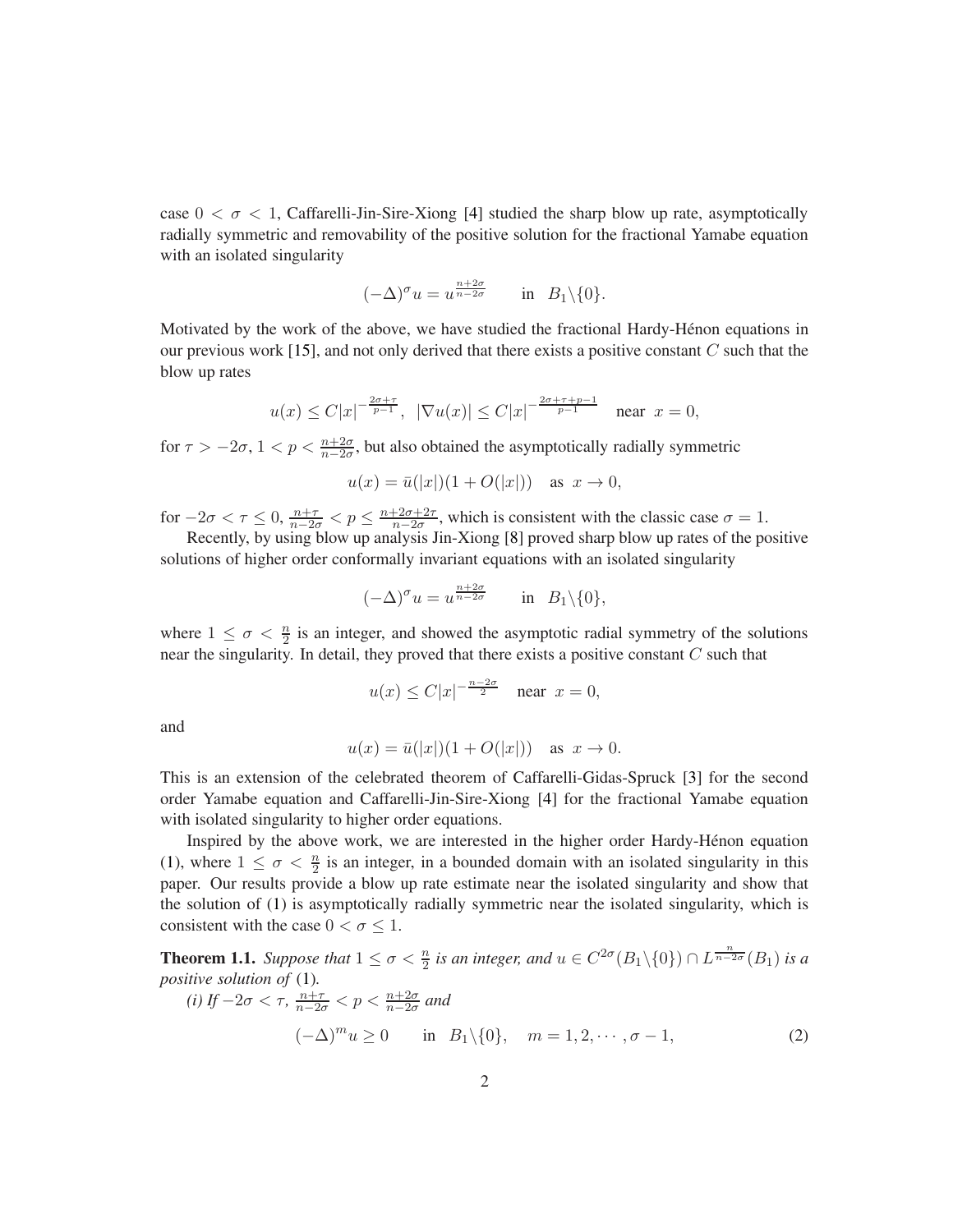case  $0 < \sigma < 1$ , Caffarelli-Jin-Sire-Xiong [\[4\]](#page-21-7) studied the sharp blow up rate, asymptotically radially symmetric and removability of the positive solution for the fractional Yamabe equation with an isolated singularity

$$
(-\Delta)^{\sigma} u = u^{\frac{n+2\sigma}{n-2\sigma}} \quad \text{in} \quad B_1 \backslash \{0\}.
$$

Motivated by the work of the above, we have studied the fractional Hardy-Hénon equations in our previous work [\[15\]](#page-22-4), and not only derived that there exists a positive constant  $C$  such that the blow up rates

$$
u(x) \leq C|x|^{-\frac{2\sigma + \tau}{p-1}}, \ |\nabla u(x)| \leq C|x|^{-\frac{2\sigma + \tau + p - 1}{p-1}} \quad \text{near } x = 0,
$$

for  $\tau > -2\sigma$ ,  $1 < p < \frac{n+2\sigma}{n-2\sigma}$ , but also obtained the asymptotically radially symmetric

 $u(x) = \bar{u}(|x|)(1 + O(|x|))$  as  $x \to 0$ ,

for  $-2\sigma < \tau \le 0$ ,  $\frac{n+\tau}{n-2\sigma} < p \le \frac{n+2\sigma+2\tau}{n-2\sigma}$ , which is consistent with the classic case  $\sigma = 1$ . Recently, by using blow up analysis Jin-Xiong [\[8\]](#page-21-0) proved sharp blow up rates of the positive

solutions of higher order conformally invariant equations with an isolated singularity

$$
(-\Delta)^{\sigma} u = u^{\frac{n+2\sigma}{n-2\sigma}} \quad \text{in} \quad B_1 \backslash \{0\},
$$

where  $1 \leq \sigma < \frac{n}{2}$  is an integer, and showed the asymptotic radial symmetry of the solutions near the singularity. In detail, they proved that there exists a positive constant  $C$  such that

$$
u(x) \le C|x|^{-\frac{n-2\sigma}{2}} \quad \text{near } x = 0,
$$

and

$$
u(x) = \bar{u}(|x|)(1 + O(|x|))
$$
 as  $x \to 0$ .

This is an extension of the celebrated theorem of Caffarelli-Gidas-Spruck [\[3\]](#page-21-5) for the second order Yamabe equation and Caffarelli-Jin-Sire-Xiong [\[4\]](#page-21-7) for the fractional Yamabe equation with isolated singularity to higher order equations.

Inspired by the above work, we are interested in the higher order Hardy-Hénon equation [\(1\)](#page-0-0), where  $1 \leq \sigma < \frac{n}{2}$  is an integer, in a bounded domain with an isolated singularity in this paper. Our results provide a blow up rate estimate near the isolated singularity and show that the solution of [\(1\)](#page-0-0) is asymptotically radially symmetric near the isolated singularity, which is consistent with the case  $0 < \sigma \leq 1$ .

<span id="page-1-1"></span>**Theorem 1.1.** Suppose that  $1 \le \sigma < \frac{n}{2}$  is an integer, and  $u \in C^{2\sigma}(B_1 \setminus \{0\}) \cap L^{\frac{n}{n-2\sigma}}(B_1)$  is a *positive solution of* [\(1\)](#page-0-0)*.*

<span id="page-1-0"></span>(i) If 
$$
-2\sigma < \tau
$$
,  $\frac{n+\tau}{n-2\sigma} < p < \frac{n+2\sigma}{n-2\sigma}$  and  
\n
$$
(-\Delta)^m u \ge 0 \quad \text{in} \quad B_1 \setminus \{0\}, \quad m = 1, 2, \cdots, \sigma - 1,
$$
\n(2)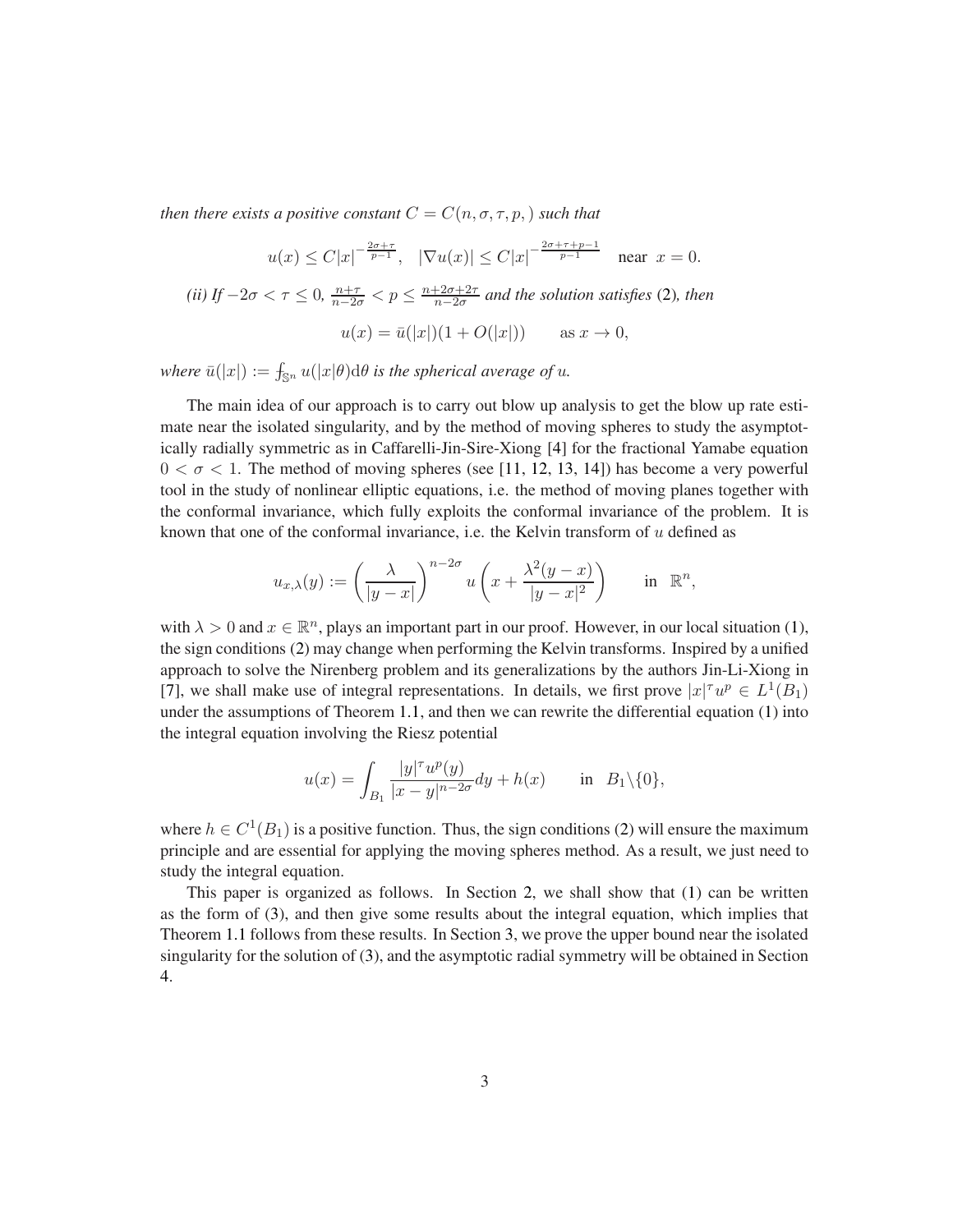*then there exists a positive constant*  $C = C(n, \sigma, \tau, p)$  *such that* 

$$
u(x) \leq C|x|^{-\frac{2\sigma + \tau}{p-1}}, \quad |\nabla u(x)| \leq C|x|^{-\frac{2\sigma + \tau + p - 1}{p-1}} \quad \text{near } x = 0.
$$

*(ii)* If  $-2\sigma < \tau \leq 0$ ,  $\frac{n+\tau}{n-2\sigma} < p \leq \frac{n+2\sigma+2\tau}{n-2\sigma}$ n−2σ *and the solution satisfies* [\(2\)](#page-1-0)*, then*  $u(x) = \bar{u}(|x|)(1 + O(|x|))$  as  $x \to 0$ ,

 $\mathbf{where} \ \bar{u}(|x|) := \int_{\mathbb{S}^n} u(|x|\theta) \mathrm{d}\theta$  *is the spherical average of u.* 

The main idea of our approach is to carry out blow up analysis to get the blow up rate estimate near the isolated singularity, and by the method of moving spheres to study the asymptotically radially symmetric as in Caffarelli-Jin-Sire-Xiong [\[4\]](#page-21-7) for the fractional Yamabe equation  $0 < \sigma < 1$ . The method of moving spheres (see [\[11,](#page-21-8) [12,](#page-21-9) [13,](#page-21-10) [14\]](#page-22-5)) has become a very powerful tool in the study of nonlinear elliptic equations, i.e. the method of moving planes together with the conformal invariance, which fully exploits the conformal invariance of the problem. It is known that one of the conformal invariance, i.e. the Kelvin transform of u defined as

$$
u_{x,\lambda}(y) := \left(\frac{\lambda}{|y-x|}\right)^{n-2\sigma} u\left(x + \frac{\lambda^2(y-x)}{|y-x|^2}\right) \quad \text{in } \mathbb{R}^n,
$$

with  $\lambda > 0$  and  $x \in \mathbb{R}^n$ , plays an important part in our proof. However, in our local situation [\(1\)](#page-0-0), the sign conditions [\(2\)](#page-1-0) may change when performing the Kelvin transforms. Inspired by a unified approach to solve the Nirenberg problem and its generalizations by the authors Jin-Li-Xiong in [\[7\]](#page-21-11), we shall make use of integral representations. In details, we first prove  $|x|^{\tau}u^p \in L^1(B_1)$ under the assumptions of Theorem [1.1,](#page-1-1) and then we can rewrite the differential equation [\(1\)](#page-0-0) into the integral equation involving the Riesz potential

$$
u(x) = \int_{B_1} \frac{|y|^\tau u^p(y)}{|x - y|^{n - 2\sigma}} dy + h(x) \quad \text{in} \quad B_1 \setminus \{0\},
$$

where  $h \in C^1(B_1)$  is a positive function. Thus, the sign conditions [\(2\)](#page-1-0) will ensure the maximum principle and are essential for applying the moving spheres method. As a result, we just need to study the integral equation.

This paper is organized as follows. In Section [2,](#page-3-0) we shall show that [\(1\)](#page-0-0) can be written as the form of [\(3\)](#page-3-1), and then give some results about the integral equation, which implies that Theorem [1.1](#page-1-1) follows from these results. In Section [3,](#page-7-0) we prove the upper bound near the isolated singularity for the solution of [\(3\)](#page-3-1), and the asymptotic radial symmetry will be obtained in Section [4.](#page-12-0)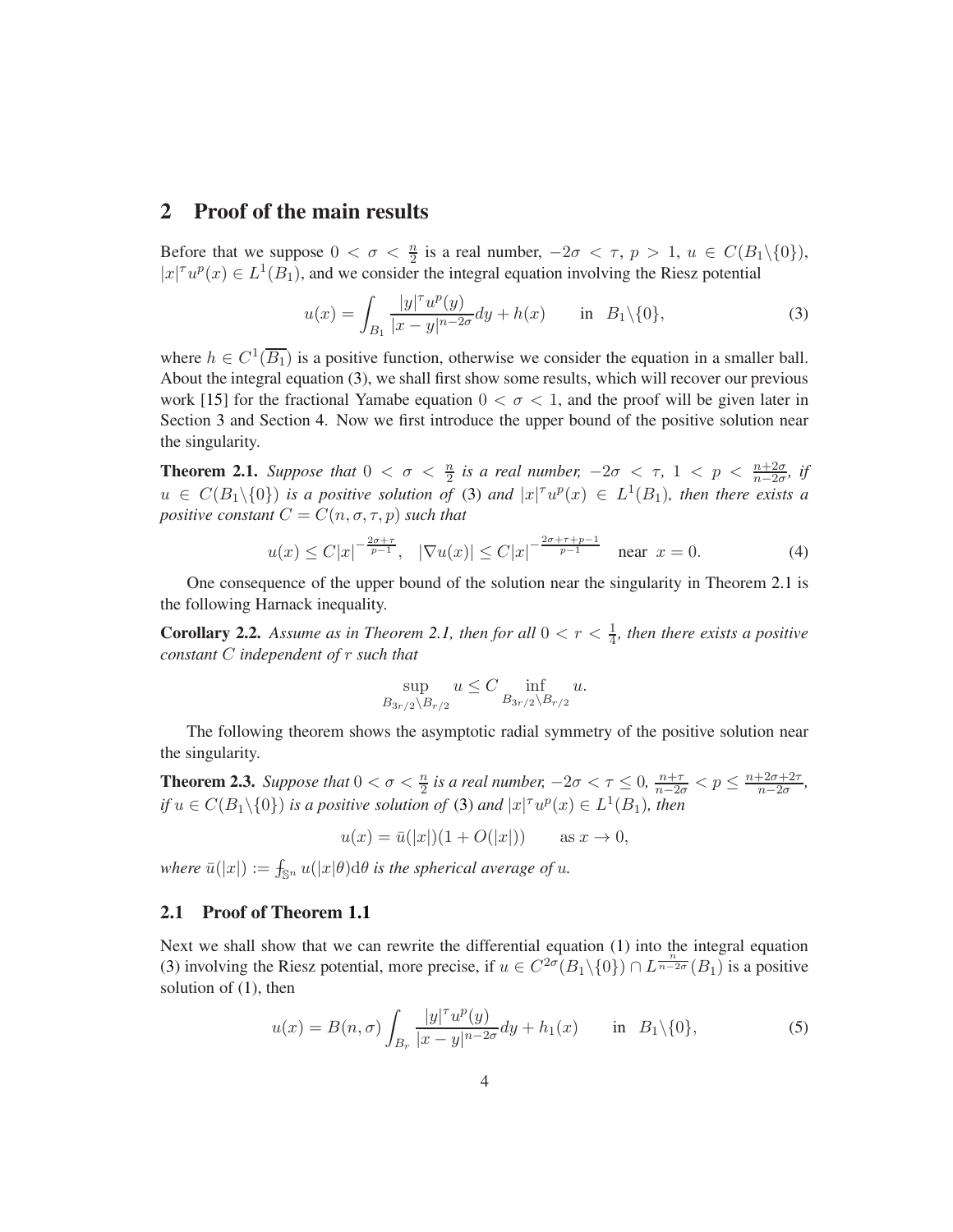## <span id="page-3-0"></span>2 Proof of the main results

Before that we suppose  $0 < \sigma < \frac{n}{2}$  is a real number,  $-2\sigma < \tau$ ,  $p > 1$ ,  $u \in C(B_1 \setminus \{0\})$ ,  $|x|^{\tau}u^{p}(x) \in L^{1}(B_{1}),$  and we consider the integral equation involving the Riesz potential

<span id="page-3-1"></span>
$$
u(x) = \int_{B_1} \frac{|y|^\tau u^p(y)}{|x - y|^{n - 2\sigma}} dy + h(x) \quad \text{in } B_1 \setminus \{0\},\tag{3}
$$

where  $h \in C^1(\overline{B_1})$  is a positive function, otherwise we consider the equation in a smaller ball. About the integral equation [\(3\)](#page-3-1), we shall first show some results, which will recover our previous work [\[15\]](#page-22-4) for the fractional Yamabe equation  $0 < \sigma < 1$ , and the proof will be given later in Section [3](#page-7-0) and Section [4.](#page-12-0) Now we first introduce the upper bound of the positive solution near the singularity.

<span id="page-3-2"></span>**Theorem 2.1.** Suppose that  $0 < \sigma < \frac{n}{2}$  is a real number,  $-2\sigma < \tau$ ,  $1 < p < \frac{n+2\sigma}{n-2\sigma}$ , if  $u \in C(B_1 \setminus \{0\})$  is a positive solution of [\(3\)](#page-3-1) and  $|x|^{\tau}u^p(x) \in L^1(B_1)$ , then there exists a *positive constant*  $C = C(n, \sigma, \tau, p)$  *such that* 

$$
u(x) \leq C|x|^{-\frac{2\sigma + \tau}{p-1}}, \quad |\nabla u(x)| \leq C|x|^{-\frac{2\sigma + \tau + p - 1}{p-1}} \quad \text{near } x = 0. \tag{4}
$$

One consequence of the upper bound of the solution near the singularity in Theorem [2.1](#page-3-2) is the following Harnack inequality.

<span id="page-3-5"></span>**Corollary 2.2.** Assume as in Theorem [2.1,](#page-3-2) then for all  $0 < r < \frac{1}{4}$ , then there exists a positive *constant* C *independent of* r *such that*

$$
\sup_{B_{3r/2}\setminus B_{r/2}} u \le C \inf_{B_{3r/2}\setminus B_{r/2}} u.
$$

The following theorem shows the asymptotic radial symmetry of the positive solution near the singularity.

<span id="page-3-3"></span>**Theorem 2.3.** Suppose that  $0 < \sigma < \frac{n}{2}$  is a real number,  $-2\sigma < \tau \leq 0$ ,  $\frac{n+\tau}{n-2\sigma} < p \leq \frac{n+2\sigma+2\tau}{n-2\sigma}$ , *if*  $u \in C(B_1 \setminus \{0\})$  *is a positive solution of* [\(3\)](#page-3-1) *and*  $|x|^{\tau} u^p(x) \in L^1(B_1)$ *, then* 

$$
u(x) = \bar{u}(|x|)(1 + O(|x|))
$$
 as  $x \to 0$ ,

 $\mathbf{where} \ \bar{u}(|x|) := \int_{\mathbb{S}^n} u(|x|\theta) \mathrm{d}\theta$  *is the spherical average of u.* 

### 2.1 Proof of Theorem [1.1](#page-1-1)

Next we shall show that we can rewrite the differential equation [\(1\)](#page-0-0) into the integral equation [\(3\)](#page-3-1) involving the Riesz potential, more precise, if  $u \in C^{2\sigma}(B_1 \setminus \{0\}) \cap L^{\frac{n}{n-2\sigma}}(B_1)$  is a positive solution of [\(1\)](#page-0-0), then

<span id="page-3-4"></span>
$$
u(x) = B(n, \sigma) \int_{B_r} \frac{|y|^\tau u^p(y)}{|x - y|^{n - 2\sigma}} dy + h_1(x) \quad \text{in } B_1 \setminus \{0\},\tag{5}
$$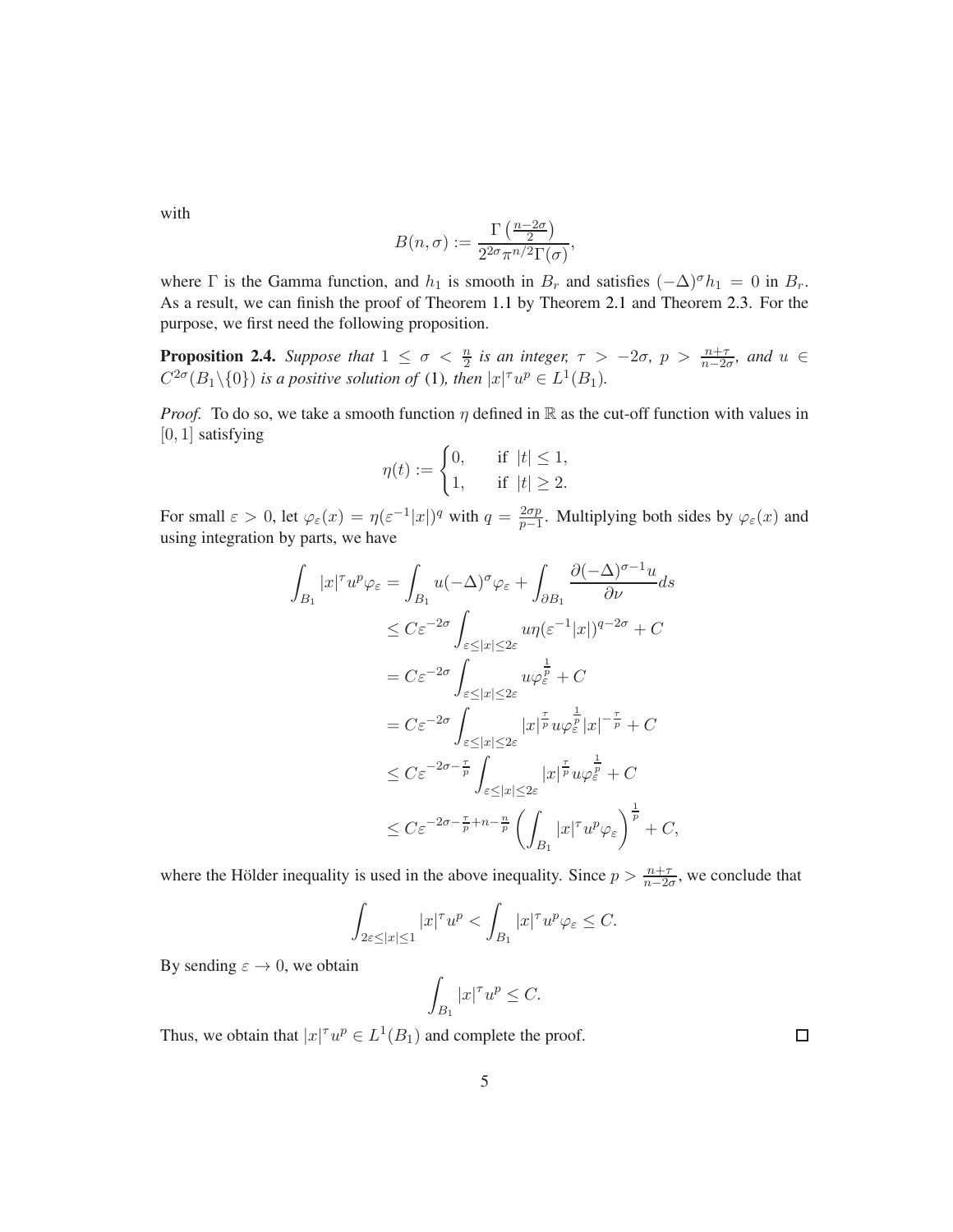with

$$
B(n,\sigma):=\frac{\Gamma\left(\frac{n-2\sigma}{2}\right)}{2^{2\sigma}\pi^{n/2}\Gamma(\sigma)},
$$

where  $\Gamma$  is the Gamma function, and  $h_1$  is smooth in  $B_r$  and satisfies  $(-\Delta)^{\sigma} h_1 = 0$  in  $B_r$ . As a result, we can finish the proof of Theorem [1.1](#page-1-1) by Theorem [2.1](#page-3-2) and Theorem [2.3.](#page-3-3) For the purpose, we first need the following proposition.

<span id="page-4-0"></span>**Proposition 2.4.** Suppose that  $1 \leq \sigma < \frac{n}{2}$  is an integer,  $\tau > -2\sigma$ ,  $p > \frac{n+\tau}{n-2\sigma}$ , and  $u \in$  $C^{2\sigma}(B_1 \setminus \{0\})$  *is a positive solution of* [\(1\)](#page-0-0)*, then*  $|x|^{\tau}u^p \in L^1(B_1)$ *.* 

*Proof.* To do so, we take a smooth function  $\eta$  defined in R as the cut-off function with values in  $[0, 1]$  satisfying

$$
\eta(t):=\begin{cases} 0, & \quad \text{if}\ \ |t|\leq 1, \\ 1, & \quad \text{if}\ \ |t|\geq 2.\end{cases}
$$

For small  $\varepsilon > 0$ , let  $\varphi_{\varepsilon}(x) = \eta(\varepsilon^{-1}|x|)^q$  with  $q = \frac{2\sigma p}{p-1}$  $\frac{2\sigma p}{p-1}$ . Multiplying both sides by  $\varphi_{\varepsilon}(x)$  and using integration by parts, we have

$$
\int_{B_1} |x|^{\tau} u^p \varphi_{\varepsilon} = \int_{B_1} u(-\Delta)^{\sigma} \varphi_{\varepsilon} + \int_{\partial B_1} \frac{\partial (-\Delta)^{\sigma-1} u}{\partial \nu} ds
$$
\n
$$
\leq C \varepsilon^{-2\sigma} \int_{\varepsilon \leq |x| \leq 2\varepsilon} u \eta(\varepsilon^{-1} |x|)^{q-2\sigma} + C
$$
\n
$$
= C \varepsilon^{-2\sigma} \int_{\varepsilon \leq |x| \leq 2\varepsilon} u \varphi_{\varepsilon}^{\frac{1}{p}} + C
$$
\n
$$
= C \varepsilon^{-2\sigma} \int_{\varepsilon \leq |x| \leq 2\varepsilon} |x|^{\frac{\tau}{p}} u \varphi_{\varepsilon}^{\frac{1}{p}} |x|^{-\frac{\tau}{p}} + C
$$
\n
$$
\leq C \varepsilon^{-2\sigma - \frac{\tau}{p}} \int_{\varepsilon \leq |x| \leq 2\varepsilon} |x|^{\frac{\tau}{p}} u \varphi_{\varepsilon}^{\frac{1}{p}} + C
$$
\n
$$
\leq C \varepsilon^{-2\sigma - \frac{\tau}{p} + n - \frac{n}{p}} \left( \int_{B_1} |x|^{\tau} u^p \varphi_{\varepsilon} \right)^{\frac{1}{p}} + C,
$$

where the Hölder inequality is used in the above inequality. Since  $p > \frac{n+\tau}{n-2\sigma}$ , we conclude that

$$
\int_{2\varepsilon \leq |x| \leq 1} |x|^\tau u^p < \int_{B_1} |x|^\tau u^p \varphi_\varepsilon \leq C.
$$

By sending  $\varepsilon \to 0$ , we obtain

$$
\int_{B_1} |x|^{\tau} u^p \le C.
$$

Thus, we obtain that  $|x|^{\tau}u^p \in L^1(B_1)$  and complete the proof.

 $\Box$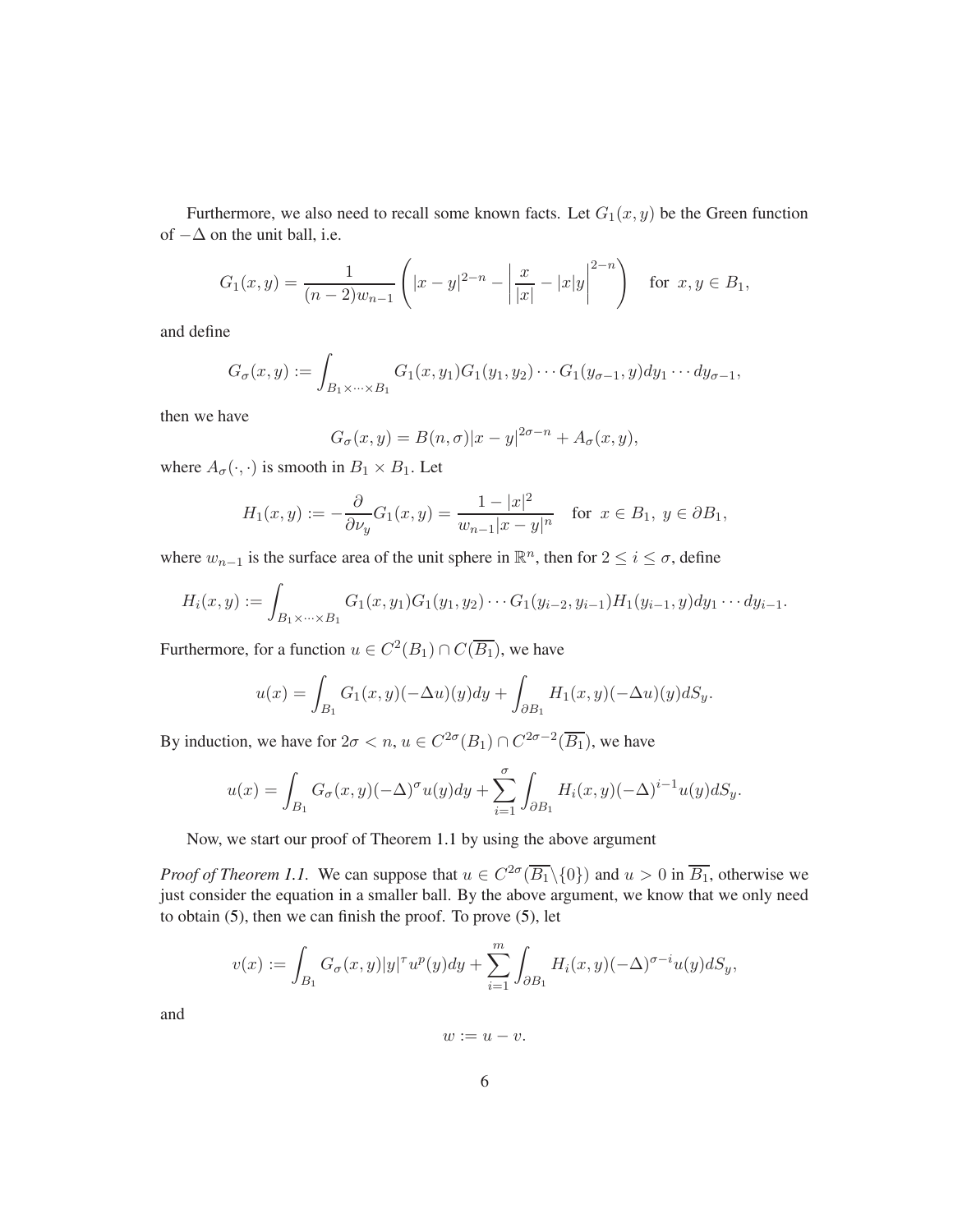Furthermore, we also need to recall some known facts. Let  $G_1(x, y)$  be the Green function of  $-\Delta$  on the unit ball, i.e.

$$
G_1(x,y) = \frac{1}{(n-2)w_{n-1}} \left( |x-y|^{2-n} - \left| \frac{x}{|x|} - |x|y \right|^{2-n} \right) \quad \text{for } x, y \in B_1,
$$

and define

$$
G_{\sigma}(x,y):=\int_{B_1\times\cdots\times B_1}G_1(x,y_1)G_1(y_1,y_2)\cdots G_1(y_{\sigma-1},y)dy_1\cdots dy_{\sigma-1},
$$

then we have

$$
G_{\sigma}(x,y) = B(n,\sigma)|x-y|^{2\sigma-n} + A_{\sigma}(x,y),
$$

where  $A_{\sigma}(\cdot, \cdot)$  is smooth in  $B_1 \times B_1$ . Let

$$
H_1(x, y) := -\frac{\partial}{\partial \nu_y} G_1(x, y) = \frac{1 - |x|^2}{w_{n-1} |x - y|^n} \quad \text{for } x \in B_1, \ y \in \partial B_1,
$$

where  $w_{n-1}$  is the surface area of the unit sphere in  $\mathbb{R}^n$ , then for  $2 \le i \le \sigma$ , define

$$
H_i(x,y) := \int_{B_1 \times \cdots \times B_1} G_1(x,y_1)G_1(y_1,y_2) \cdots G_1(y_{i-2},y_{i-1})H_1(y_{i-1},y)dy_1 \cdots dy_{i-1}.
$$

Furthermore, for a function  $u \in C^2(B_1) \cap C(\overline{B_1})$ , we have

$$
u(x) = \int_{B_1} G_1(x, y)(-\Delta u)(y)dy + \int_{\partial B_1} H_1(x, y)(-\Delta u)(y)dB_y.
$$

By induction, we have for  $2\sigma < n$ ,  $u \in C^{2\sigma}(B_1) \cap C^{2\sigma-2}(\overline{B_1})$ , we have

$$
u(x) = \int_{B_1} G_{\sigma}(x, y)(-\Delta)^{\sigma} u(y) dy + \sum_{i=1}^{\sigma} \int_{\partial B_1} H_i(x, y)(-\Delta)^{i-1} u(y) dS_y.
$$

Now, we start our proof of Theorem [1.1](#page-1-1) by using the above argument

*Proof of Theorem [1.1.](#page-1-1)* We can suppose that  $u \in C^{2\sigma}(\overline{B_1} \setminus \{0\})$  and  $u > 0$  in  $\overline{B_1}$ , otherwise we just consider the equation in a smaller ball. By the above argument, we know that we only need to obtain [\(5\)](#page-3-4), then we can finish the proof. To prove [\(5\)](#page-3-4), let

$$
v(x) := \int_{B_1} G_{\sigma}(x, y) |y|^{\tau} u^p(y) dy + \sum_{i=1}^m \int_{\partial B_1} H_i(x, y) (-\Delta)^{\sigma - i} u(y) dS_y,
$$

and

 $w := u - v.$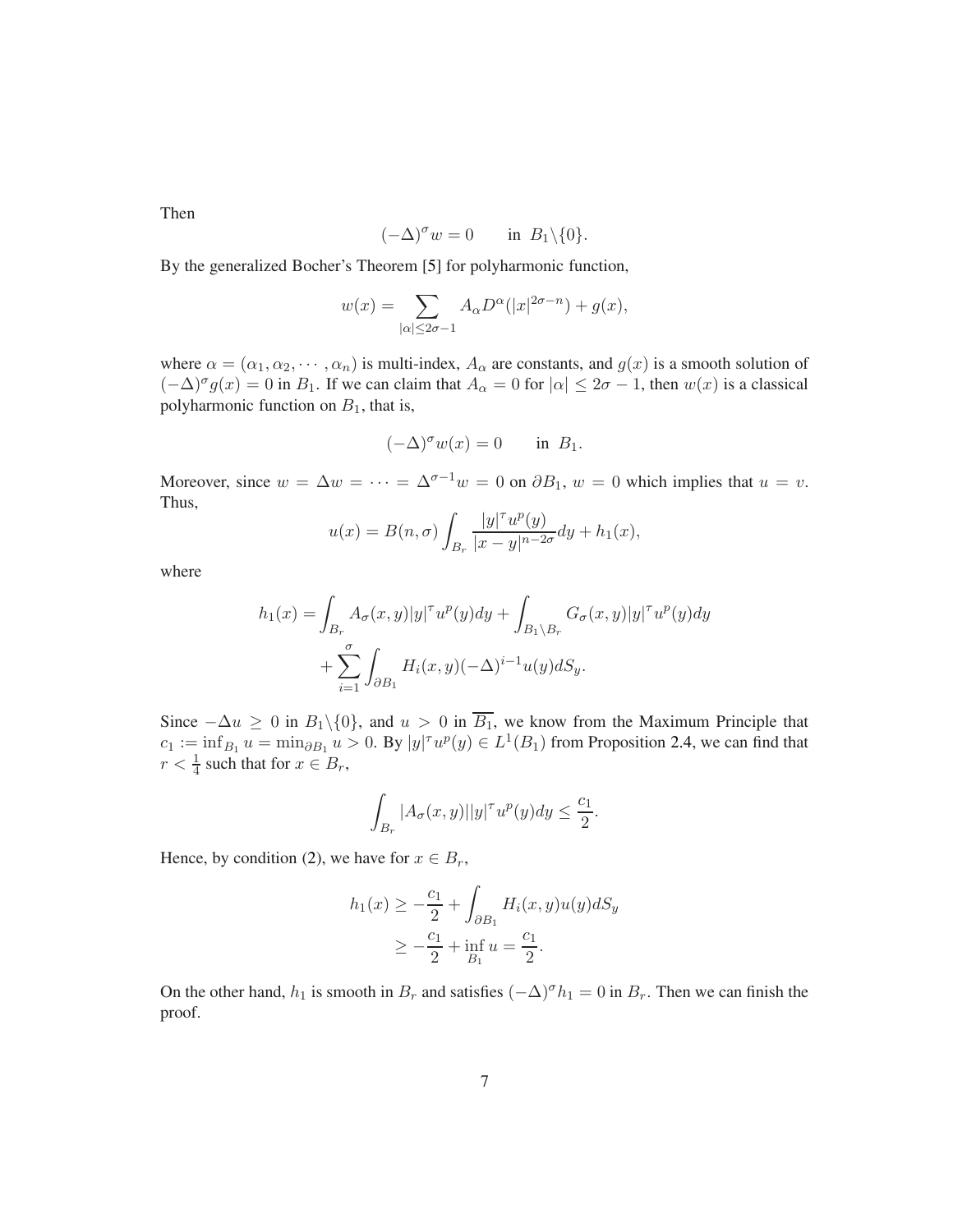Then

$$
(-\Delta)^{\sigma} w = 0 \quad \text{in } B_1 \backslash \{0\}.
$$

By the generalized Bocher's Theorem [\[5\]](#page-21-12) for polyharmonic function,

$$
w(x) = \sum_{|\alpha| \le 2\sigma - 1} A_{\alpha} D^{\alpha}(|x|^{2\sigma - n}) + g(x),
$$

where  $\alpha = (\alpha_1, \alpha_2, \cdots, \alpha_n)$  is multi-index,  $A_\alpha$  are constants, and  $g(x)$  is a smooth solution of  $(-\Delta)^{\sigma} g(x) = 0$  in  $B_1$ . If we can claim that  $A_{\alpha} = 0$  for  $|\alpha| \leq 2\sigma - 1$ , then  $w(x)$  is a classical polyharmonic function on  $B_1$ , that is,

$$
(-\Delta)^{\sigma} w(x) = 0 \quad \text{in } B_1.
$$

Moreover, since  $w = \Delta w = \cdots = \Delta^{\sigma-1} w = 0$  on  $\partial B_1$ ,  $w = 0$  which implies that  $u = v$ . Thus,

$$
u(x) = B(n, \sigma) \int_{B_r} \frac{|y|^\tau u^p(y)}{|x - y|^{n - 2\sigma}} dy + h_1(x),
$$

where

$$
h_1(x) = \int_{B_r} A_\sigma(x, y) |y|^\tau u^p(y) dy + \int_{B_1 \setminus B_r} G_\sigma(x, y) |y|^\tau u^p(y) dy
$$
  
+ 
$$
\sum_{i=1}^\sigma \int_{\partial B_1} H_i(x, y) (-\Delta)^{i-1} u(y) dS_y.
$$

Since  $-\Delta u \ge 0$  in  $B_1 \setminus \{0\}$ , and  $u > 0$  in  $\overline{B_1}$ , we know from the Maximum Principle that  $c_1 := \inf_{B_1} u = \min_{\partial B_1} u > 0$ . By  $|y|^\tau u^p(y) \in L^1(B_1)$  from Proposition [2.4,](#page-4-0) we can find that  $r < \frac{1}{4}$  such that for  $x \in B_r$ ,

$$
\int_{B_r} |A_\sigma(x,y)| |y|^\tau u^p(y) dy \leq \frac{c_1}{2}.
$$

Hence, by condition [\(2\)](#page-1-0), we have for  $x \in B_r$ ,

$$
h_1(x) \ge -\frac{c_1}{2} + \int_{\partial B_1} H_i(x, y) u(y) dS_y
$$
  
 
$$
\ge -\frac{c_1}{2} + \inf_{B_1} u = \frac{c_1}{2}.
$$

On the other hand,  $h_1$  is smooth in  $B_r$  and satisfies  $(-\Delta)^{\sigma} h_1 = 0$  in  $B_r$ . Then we can finish the proof.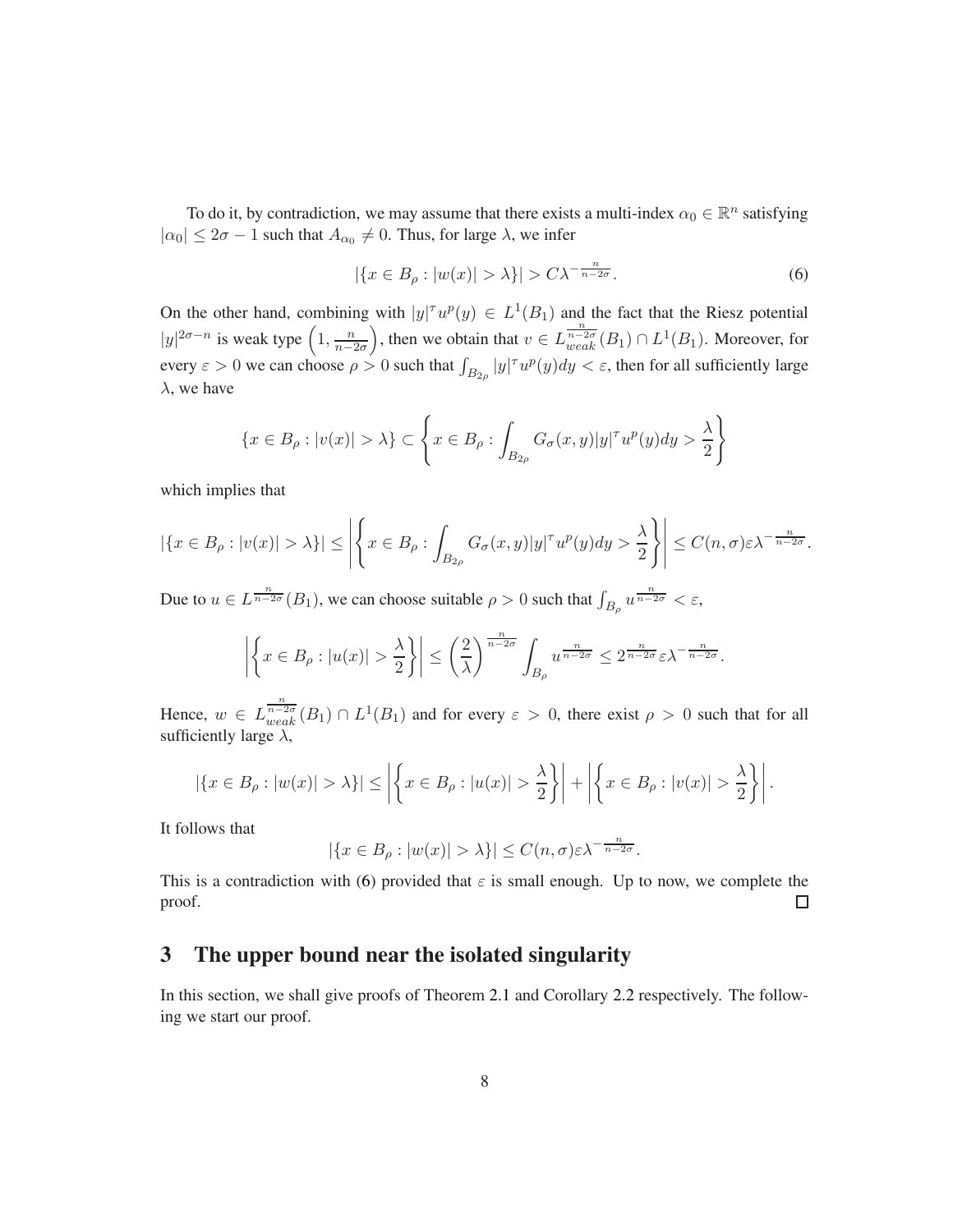To do it, by contradiction, we may assume that there exists a multi-index  $\alpha_0 \in \mathbb{R}^n$  satisfying  $|\alpha_0| \leq 2\sigma - 1$  such that  $A_{\alpha_0} \neq 0$ . Thus, for large  $\lambda$ , we infer

<span id="page-7-1"></span>
$$
|\{x \in B_{\rho} : |w(x)| > \lambda\}| > C\lambda^{-\frac{n}{n-2\sigma}}.
$$
\n
$$
(6)
$$

On the other hand, combining with  $|y|^\tau u^p(y) \in L^1(B_1)$  and the fact that the Riesz potential  $|y|^{2\sigma-n}$  is weak type  $\left(1, \frac{n}{n-1}\right)$  $n-2\sigma$ ), then we obtain that  $v \in L_{weak}^{\frac{n}{n-2\sigma}}(B_1) \cap L^1(B_1)$ . Moreover, for every  $\varepsilon > 0$  we can choose  $\rho > 0$  such that  $\int_{B_{2\rho}} |y|^\tau u^p(y) dy < \varepsilon$ , then for all sufficiently large  $\lambda$ , we have

$$
\{x \in B_{\rho}: |v(x)| > \lambda\} \subset \left\{x \in B_{\rho}: \int_{B_{2\rho}} G_{\sigma}(x, y)|y|^\tau u^p(y) dy > \frac{\lambda}{2}\right\}
$$

which implies that

$$
|\{x \in B_{\rho}: |v(x)| > \lambda\}| \le \left| \left\{ x \in B_{\rho}: \int_{B_{2\rho}} G_{\sigma}(x, y)|y|^\tau u^p(y) dy > \frac{\lambda}{2} \right\} \right| \le C(n, \sigma) \varepsilon \lambda^{-\frac{n}{n-2\sigma}}.
$$

Due to  $u \in L^{\frac{n}{n-2\sigma}}(B_1)$ , we can choose suitable  $\rho > 0$  such that  $\int_{B_\rho} u^{\frac{n}{n-2\sigma}} < \varepsilon$ ,

$$
\left| \left\{ x \in B_\rho : |u(x)| > \frac{\lambda}{2} \right\} \right| \leq \left( \frac{2}{\lambda} \right)^{\frac{n}{n-2\sigma}} \int_{B_\rho} u^{\frac{n}{n-2\sigma}} \leq 2^{\frac{n}{n-2\sigma}} \varepsilon \lambda^{-\frac{n}{n-2\sigma}}.
$$

Hence,  $w \in L_{weak}^{\frac{n}{n-2\sigma}}(B_1) \cap L^1(B_1)$  and for every  $\varepsilon > 0$ , there exist  $\rho > 0$  such that for all sufficiently large  $\lambda$ ,

$$
|\{x \in B_{\rho}: |w(x)| > \lambda\}| \le \left| \left\{ x \in B_{\rho}: |u(x)| > \frac{\lambda}{2} \right\} \right| + \left| \left\{ x \in B_{\rho}: |v(x)| > \frac{\lambda}{2} \right\} \right|.
$$

It follows that

$$
|\{x \in B_{\rho} : |w(x)| > \lambda\}| \le C(n, \sigma) \varepsilon \lambda^{-\frac{n}{n-2\sigma}}.
$$

This is a contradiction with [\(6\)](#page-7-1) provided that  $\varepsilon$  is small enough. Up to now, we complete the proof.  $\Box$ 

## <span id="page-7-0"></span>3 The upper bound near the isolated singularity

In this section, we shall give proofs of Theorem [2.1](#page-3-2) and Corollary [2.2](#page-3-5) respectively. The following we start our proof.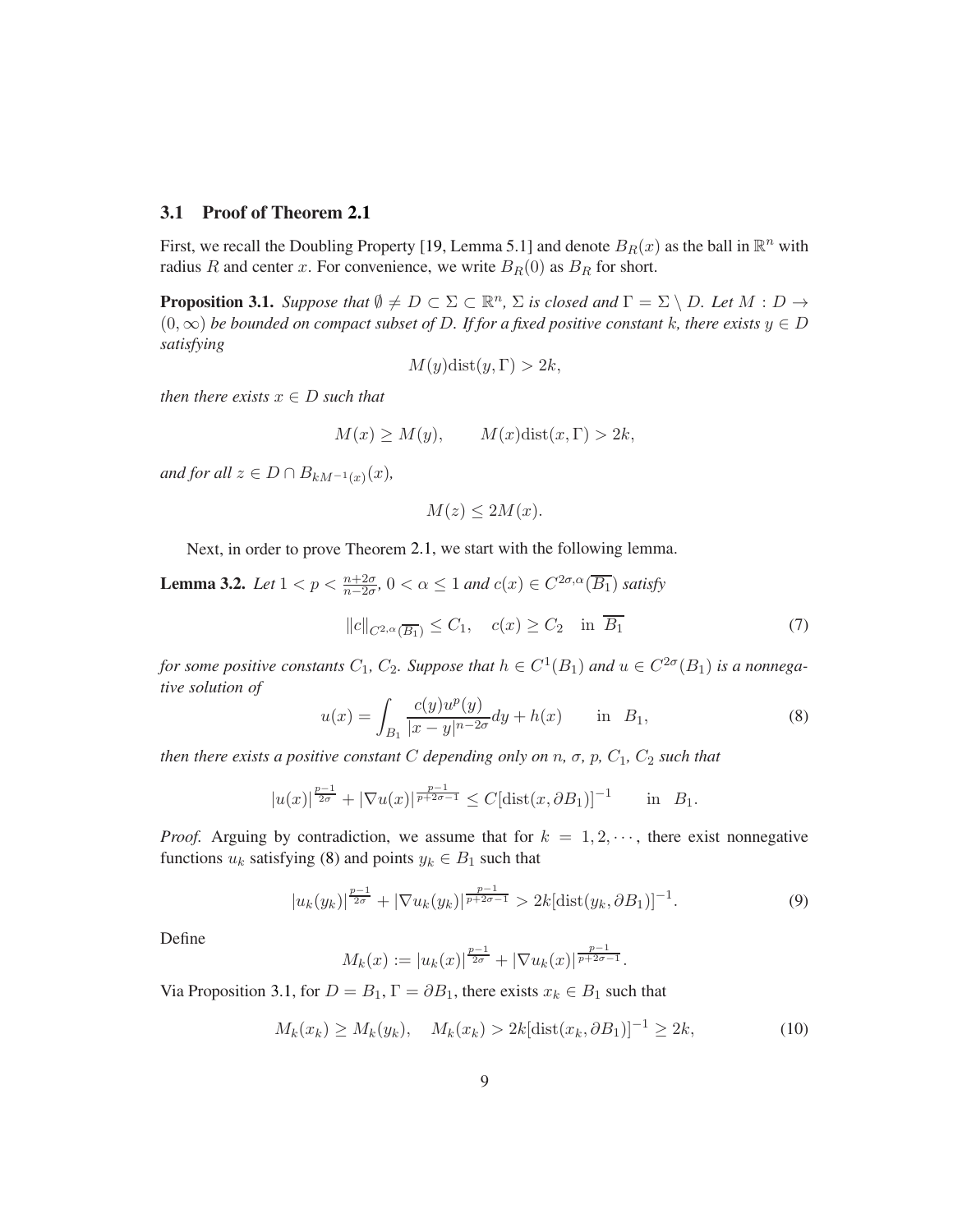#### 3.1 Proof of Theorem [2.1](#page-3-2)

First, we recall the Doubling Property [\[19,](#page-22-6) Lemma 5.1] and denote  $B_R(x)$  as the ball in  $\mathbb{R}^n$  with radius R and center x. For convenience, we write  $B_R(0)$  as  $B_R$  for short.

<span id="page-8-1"></span>**Proposition 3.1.** *Suppose that*  $\emptyset \neq D \subset \Sigma \subset \mathbb{R}^n$ ,  $\Sigma$  *is closed and*  $\Gamma = \Sigma \setminus D$ *. Let*  $M : D \to D$ (0,∞) *be bounded on compact subset of* D*. If for a fixed positive constant* k*, there exists* y ∈ D *satisfying*

$$
M(y)\text{dist}(y,\Gamma) > 2k,
$$

*then there exists*  $x \in D$  *such that* 

$$
M(x) \ge M(y), \qquad M(x)\text{dist}(x,\Gamma) > 2k,
$$

*and for all*  $z \in D \cap B_{kM^{-1}(x)}(x)$ ,

$$
M(z) \le 2M(x).
$$

Next, in order to prove Theorem [2.1,](#page-3-2) we start with the following lemma.

<span id="page-8-4"></span>**Lemma 3.2.** *Let*  $1 < p < \frac{n+2\sigma}{n-2\sigma}$ ,  $0 < \alpha \le 1$  *and*  $c(x) \in C^{2\sigma,\alpha}(\overline{B_1})$  *satisfy*  $||c||_{C^{2,\alpha}(\overline{B_1})} \leq C_1, \quad c(x) \geq C_2 \quad \text{in } \overline{B_1}$  (7)

*for some positive constants*  $C_1$ ,  $C_2$ . Suppose that  $h \in C^1(B_1)$  and  $u \in C^{2\sigma}(B_1)$  is a nonnega*tive solution of*

<span id="page-8-3"></span><span id="page-8-0"></span>
$$
u(x) = \int_{B_1} \frac{c(y)u^p(y)}{|x - y|^{n - 2\sigma}} dy + h(x) \quad \text{in} \quad B_1,
$$
 (8)

*then there exists a positive constant* C *depending only on*  $n$ *,*  $\sigma$ *,*  $p$ *,*  $C_1$ *,*  $C_2$  *such that* 

$$
|u(x)|^{\frac{p-1}{2\sigma}} + |\nabla u(x)|^{\frac{p-1}{p+2\sigma-1}} \le C[\text{dist}(x, \partial B_1)]^{-1} \quad \text{in} \quad B_1.
$$

*Proof.* Arguing by contradiction, we assume that for  $k = 1, 2, \cdots$ , there exist nonnegative functions  $u_k$  satisfying [\(8\)](#page-8-0) and points  $y_k \in B_1$  such that

$$
|u_k(y_k)|^{\frac{p-1}{2\sigma}} + |\nabla u_k(y_k)|^{\frac{p-1}{p+2\sigma-1}} > 2k[\text{dist}(y_k, \partial B_1)]^{-1}.
$$
 (9)

Define

$$
M_k(x) := |u_k(x)|^{\frac{p-1}{2\sigma}} + |\nabla u_k(x)|^{\frac{p-1}{p+2\sigma-1}}.
$$

Via Proposition [3.1,](#page-8-1) for  $D = B_1$ ,  $\Gamma = \partial B_1$ , there exists  $x_k \in B_1$  such that

<span id="page-8-2"></span>
$$
M_k(x_k) \ge M_k(y_k), \quad M_k(x_k) > 2k[\text{dist}(x_k, \partial B_1)]^{-1} \ge 2k,
$$
\n(10)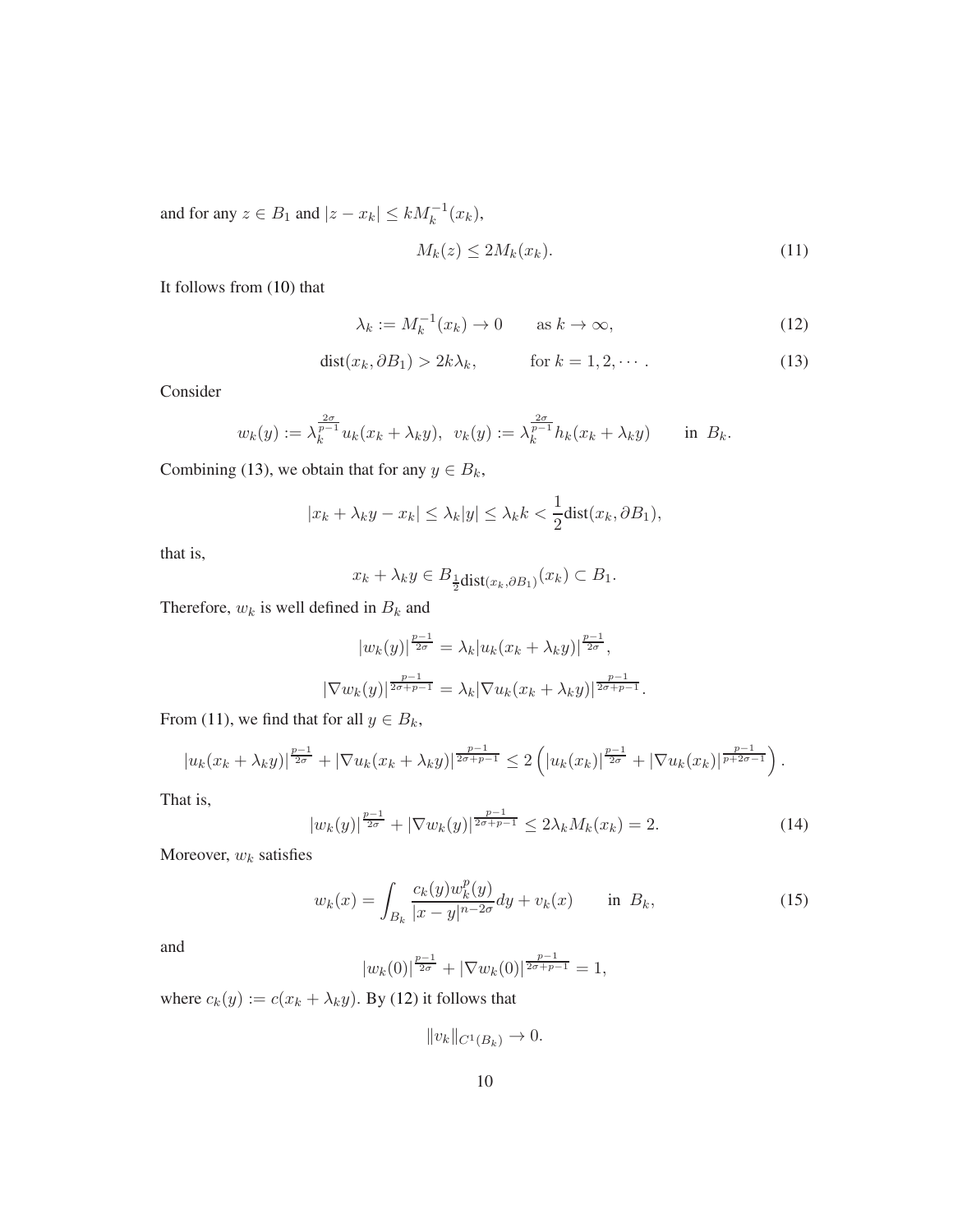and for any  $z \in B_1$  and  $|z - x_k| \le k M_k^{-1}(x_k)$ ,

<span id="page-9-1"></span>
$$
M_k(z) \le 2M_k(x_k). \tag{11}
$$

It follows from [\(10\)](#page-8-2) that

<span id="page-9-2"></span>
$$
\lambda_k := M_k^{-1}(x_k) \to 0 \qquad \text{as } k \to \infty,
$$
\n(12)

<span id="page-9-0"></span>
$$
dist(x_k, \partial B_1) > 2k\lambda_k, \qquad \text{for } k = 1, 2, \cdots.
$$
 (13)

Consider

$$
w_k(y) := \lambda_k^{\frac{2\sigma}{p-1}} u_k(x_k + \lambda_k y), \ \ v_k(y) := \lambda_k^{\frac{2\sigma}{p-1}} h_k(x_k + \lambda_k y) \quad \text{in } B_k.
$$

Combining [\(13\)](#page-9-0), we obtain that for any  $y \in B_k$ ,

$$
|x_k + \lambda_k y - x_k| \le \lambda_k |y| \le \lambda_k k < \frac{1}{2} \text{dist}(x_k, \partial B_1),
$$

that is,

$$
x_k + \lambda_k y \in B_{\frac{1}{2} \text{dist}(x_k, \partial B_1)}(x_k) \subset B_1.
$$

Therefore,  $w_k$  is well defined in  $B_k$  and

$$
|w_k(y)|^{\frac{p-1}{2\sigma}} = \lambda_k |u_k(x_k + \lambda_k y)|^{\frac{p-1}{2\sigma}},
$$
  

$$
|\nabla w_k(y)|^{\frac{p-1}{2\sigma + p - 1}} = \lambda_k |\nabla u_k(x_k + \lambda_k y)|^{\frac{p-1}{2\sigma + p - 1}}.
$$

From [\(11\)](#page-9-1), we find that for all  $y \in B_k$ ,

$$
|u_k(x_k + \lambda_k y)|^{\frac{p-1}{2\sigma}} + |\nabla u_k(x_k + \lambda_k y)|^{\frac{p-1}{2\sigma + p - 1}} \leq 2\left(|u_k(x_k)|^{\frac{p-1}{2\sigma}} + |\nabla u_k(x_k)|^{\frac{p-1}{p+2\sigma - 1}}\right).
$$

That is,

$$
|w_k(y)|^{\frac{p-1}{2\sigma}} + |\nabla w_k(y)|^{\frac{p-1}{2\sigma+p-1}} \le 2\lambda_k M_k(x_k) = 2.
$$
 (14)

Moreover,  $w_k$  satisfies

$$
w_k(x) = \int_{B_k} \frac{c_k(y)w_k^p(y)}{|x - y|^{n - 2\sigma}} dy + v_k(x) \quad \text{in } B_k,
$$
 (15)

and

$$
|w_k(0)|^{\frac{p-1}{2\sigma}} + |\nabla w_k(0)|^{\frac{p-1}{2\sigma+p-1}} = 1,
$$

where  $c_k(y) := c(x_k + \lambda_k y)$ . By [\(12\)](#page-9-2) it follows that

 $||v_k||_{C^1(B_k)} \to 0.$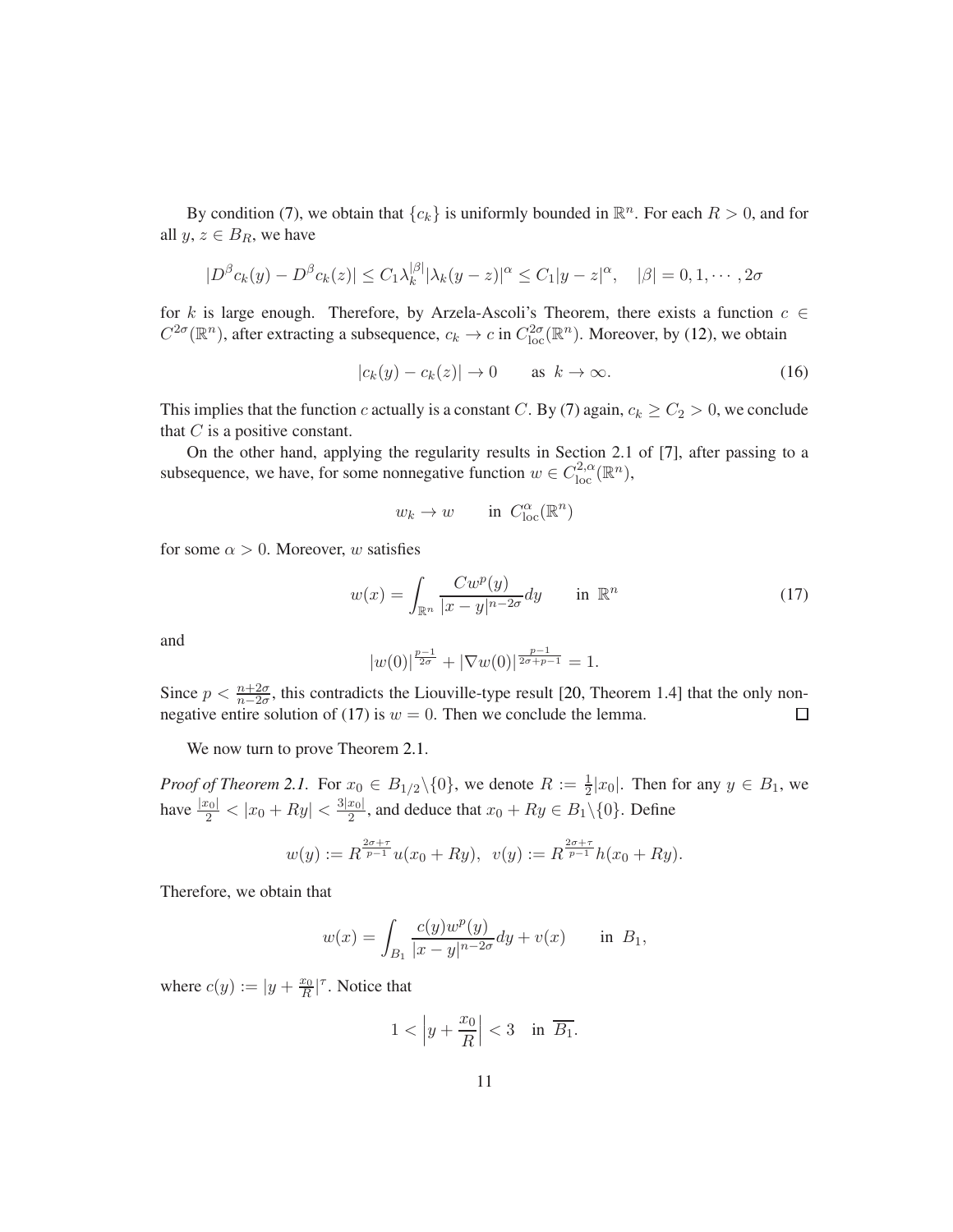By condition [\(7\)](#page-8-3), we obtain that  $\{c_k\}$  is uniformly bounded in  $\mathbb{R}^n$ . For each  $R > 0$ , and for all  $y, z \in B_R$ , we have

$$
|D^{\beta}c_k(y) - D^{\beta}c_k(z)| \leq C_1\lambda_k^{|\beta|}|\lambda_k(y - z)|^{\alpha} \leq C_1|y - z|^{\alpha}, \quad |\beta| = 0, 1, \cdots, 2\sigma
$$

for k is large enough. Therefore, by Arzela-Ascoli's Theorem, there exists a function  $c \in$  $C^{2\sigma}(\mathbb{R}^n)$ , after extracting a subsequence,  $c_k \to c$  in  $C^{2\sigma}_{loc}(\mathbb{R}^n)$ . Moreover, by [\(12\)](#page-9-2), we obtain

$$
|c_k(y) - c_k(z)| \to 0 \quad \text{as } k \to \infty. \tag{16}
$$

This implies that the function c actually is a constant C. By [\(7\)](#page-8-3) again,  $c_k \ge C_2 > 0$ , we conclude that  $C$  is a positive constant.

On the other hand, applying the regularity results in Section 2.1 of [\[7\]](#page-21-11), after passing to a subsequence, we have, for some nonnegative function  $w \in C^{2,\alpha}_{loc}(\mathbb{R}^n)$ ,

$$
w_k\to w\qquad\text{in }C^\alpha_{\text{loc}}(\mathbb{R}^n)
$$

for some  $\alpha > 0$ . Moreover, w satisfies

<span id="page-10-0"></span>
$$
w(x) = \int_{\mathbb{R}^n} \frac{Cw^p(y)}{|x - y|^{n - 2\sigma}} dy \quad \text{in } \mathbb{R}^n
$$
 (17)

and

$$
|w(0)|^{\frac{p-1}{2\sigma}} + |\nabla w(0)|^{\frac{p-1}{2\sigma+p-1}} = 1.
$$

Since  $p < \frac{n+2\sigma}{n-2\sigma}$ , this contradicts the Liouville-type result [\[20,](#page-22-7) Theorem 1.4] that the only non-negative entire solution of [\(17\)](#page-10-0) is  $w = 0$ . Then we conclude the lemma.  $\Box$ 

We now turn to prove Theorem [2.1.](#page-3-2)

*Proof of Theorem [2.1.](#page-3-2)* For  $x_0 \in B_{1/2} \setminus \{0\}$ , we denote  $R := \frac{1}{2}|x_0|$ . Then for any  $y \in B_1$ , we have  $\frac{|x_0|}{2} < |x_0 + Ry| < \frac{3|x_0|}{2}$  $\frac{x_{01}}{2}$ , and deduce that  $x_{0} + Ry \in B_{1} \setminus \{0\}$ . Define

$$
w(y) := R^{\frac{2\sigma + \tau}{p-1}} u(x_0 + Ry), \ \ v(y) := R^{\frac{2\sigma + \tau}{p-1}} h(x_0 + Ry).
$$

Therefore, we obtain that

$$
w(x) = \int_{B_1} \frac{c(y)w^p(y)}{|x - y|^{n - 2\sigma}} dy + v(x) \quad \text{in } B_1,
$$

where  $c(y) := |y + \frac{x_0}{R}|^{\tau}$ . Notice that

$$
1 < \left| y + \frac{x_0}{R} \right| < 3 \quad \text{in} \ \overline{B_1}.
$$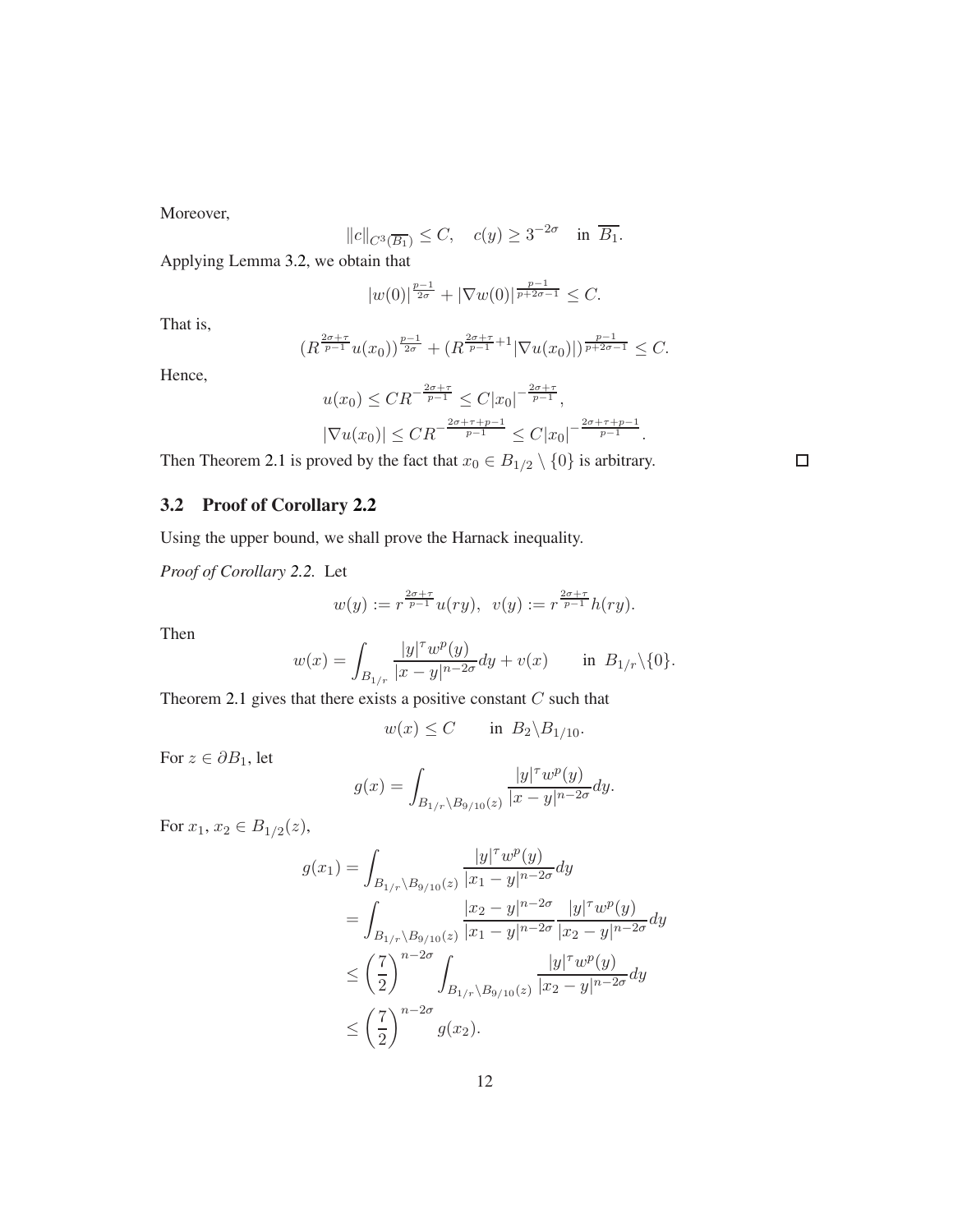Moreover,

$$
||c||_{C^{3}(\overline{B_1})} \leq C
$$
,  $c(y) \geq 3^{-2\sigma}$  in  $\overline{B_1}$ .

Applying Lemma [3.2,](#page-8-4) we obtain that

$$
|w(0)|^{\frac{p-1}{2\sigma}} + |\nabla w(0)|^{\frac{p-1}{p+2\sigma-1}} \leq C.
$$

That is,

$$
(R^{\frac{2\sigma+\tau}{p-1}}u(x_0))^{\frac{p-1}{2\sigma}}+(R^{\frac{2\sigma+\tau}{p-1}+1}|\nabla u(x_0)|)^{\frac{p-1}{p+2\sigma-1}}\leq C.
$$

Hence,

$$
u(x_0) \leq CR^{-\frac{2\sigma + \tau}{p-1}} \leq C|x_0|^{-\frac{2\sigma + \tau}{p-1}},
$$
  

$$
|\nabla u(x_0)| \leq CR^{-\frac{2\sigma + \tau + p - 1}{p-1}} \leq C|x_0|^{-\frac{2\sigma + \tau + p - 1}{p-1}}.
$$

Then Theorem [2.1](#page-3-2) is proved by the fact that  $x_0 \in B_{1/2} \setminus \{0\}$  is arbitrary.

3.2 Proof of Corollary [2.2](#page-3-5)

Using the upper bound, we shall prove the Harnack inequality.

*Proof of Corollary [2.2.](#page-3-5)* Let

$$
w(y) := r^{\frac{2\sigma + \tau}{p-1}} u(ry), \ \ v(y) := r^{\frac{2\sigma + \tau}{p-1}} h(ry).
$$

Then

$$
w(x) = \int_{B_{1/r}} \frac{|y|^\tau w^p(y)}{|x - y|^{n - 2\sigma}} dy + v(x) \quad \text{in } B_{1/r} \setminus \{0\}.
$$

Theorem [2.1](#page-3-2) gives that there exists a positive constant  $C$  such that

$$
w(x) \le C \qquad \text{in } B_2 \backslash B_{1/10}.
$$

For  $z \in \partial B_1$ , let

$$
g(x) = \int_{B_{1/r} \backslash B_{9/10}(z)} \frac{|y|^\tau w^p(y)}{|x - y|^{n - 2\sigma}} dy.
$$

For  $x_1, x_2 \in B_{1/2}(z)$ ,

$$
g(x_1) = \int_{B_{1/r} \setminus B_{9/10}(z)} \frac{|y|^{\tau} w^p(y)}{|x_1 - y|^{n - 2\sigma}} dy
$$
  
= 
$$
\int_{B_{1/r} \setminus B_{9/10}(z)} \frac{|x_2 - y|^{n - 2\sigma}}{|x_1 - y|^{n - 2\sigma}} \frac{|y|^{\tau} w^p(y)}{|x_2 - y|^{n - 2\sigma}} dy
$$
  

$$
\leq \left(\frac{7}{2}\right)^{n - 2\sigma} \int_{B_{1/r} \setminus B_{9/10}(z)} \frac{|y|^{\tau} w^p(y)}{|x_2 - y|^{n - 2\sigma}} dy
$$
  

$$
\leq \left(\frac{7}{2}\right)^{n - 2\sigma} g(x_2).
$$

 $\Box$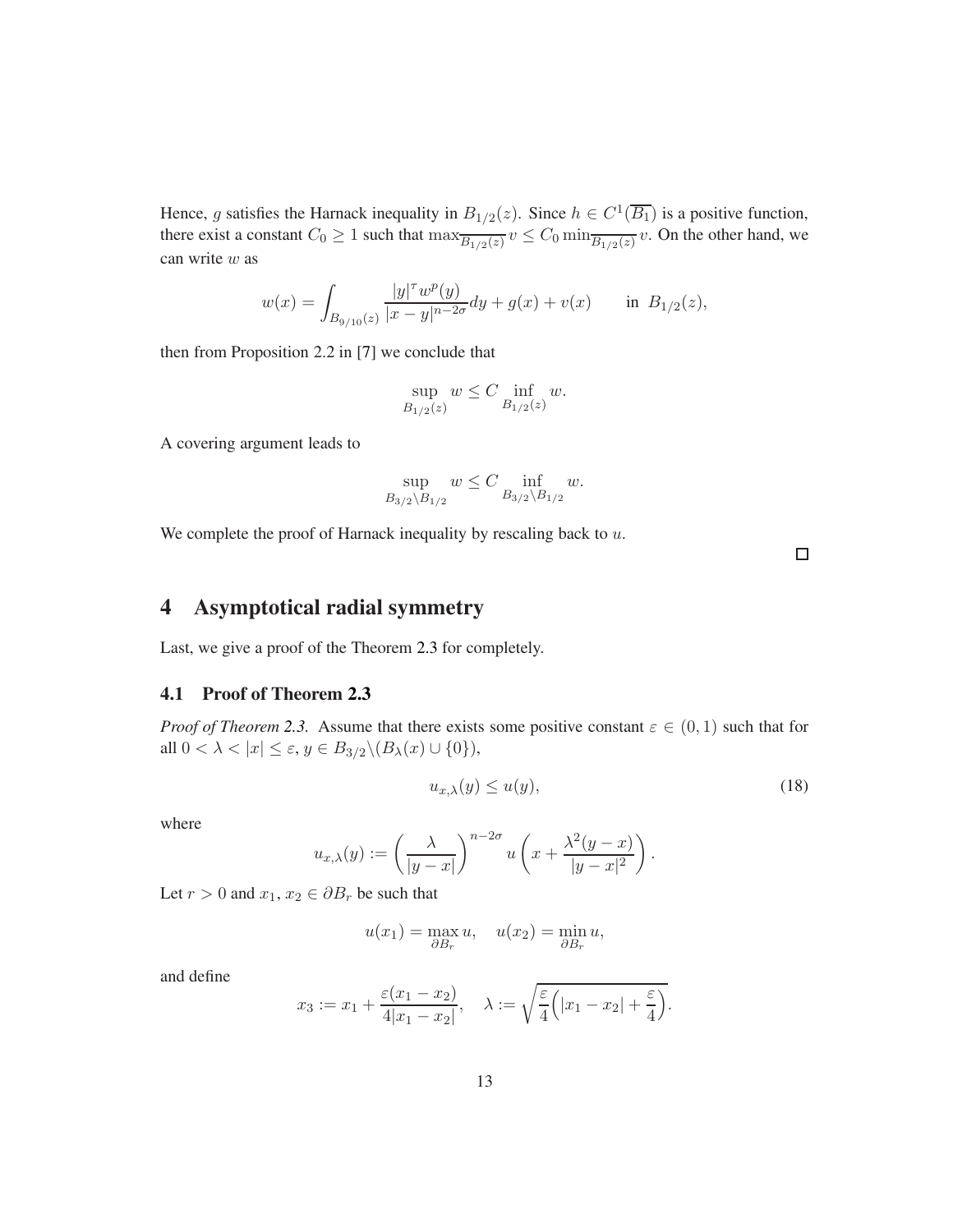Hence, g satisfies the Harnack inequality in  $B_{1/2}(z)$ . Since  $h \in C^1(\overline{B_1})$  is a positive function, there exist a constant  $C_0 \ge 1$  such that  $\max_{\overline{B_{1/2}(z)}} v \le C_0 \min_{\overline{B_{1/2}(z)}} v$ . On the other hand, we can write w as

$$
w(x) = \int_{B_{9/10}(z)} \frac{|y|^\tau w^p(y)}{|x - y|^{n - 2\sigma}} dy + g(x) + v(x) \quad \text{in } B_{1/2}(z),
$$

then from Proposition 2.2 in [\[7\]](#page-21-11) we conclude that

$$
\sup_{B_{1/2}(z)} w \le C \inf_{B_{1/2}(z)} w.
$$

A covering argument leads to

$$
\sup_{B_{3/2} \backslash B_{1/2}} w \le C \inf_{B_{3/2} \backslash B_{1/2}} w.
$$

We complete the proof of Harnack inequality by rescaling back to  $u$ .

 $\Box$ 

# <span id="page-12-0"></span>4 Asymptotical radial symmetry

Last, we give a proof of the Theorem [2.3](#page-3-3) for completely.

#### 4.1 Proof of Theorem [2.3](#page-3-3)

*Proof of Theorem* [2.3.](#page-3-3) Assume that there exists some positive constant  $\varepsilon \in (0,1)$  such that for all  $0 < \lambda < |x| \leq \varepsilon$ ,  $y \in B_{3/2} \backslash (B_\lambda(x) \cup \{0\}),$ 

<span id="page-12-1"></span>
$$
u_{x,\lambda}(y) \le u(y),\tag{18}
$$

.

where

$$
u_{x,\lambda}(y) := \left(\frac{\lambda}{|y-x|}\right)^{n-2\sigma} u\left(x + \frac{\lambda^2(y-x)}{|y-x|^2}\right)
$$

Let  $r > 0$  and  $x_1, x_2 \in \partial B_r$  be such that

$$
u(x_1) = \max_{\partial B_r} u, \quad u(x_2) = \min_{\partial B_r} u,
$$

and define

$$
x_3 := x_1 + \frac{\varepsilon (x_1 - x_2)}{4|x_1 - x_2|}, \quad \lambda := \sqrt{\frac{\varepsilon}{4} (|x_1 - x_2| + \frac{\varepsilon}{4})}.
$$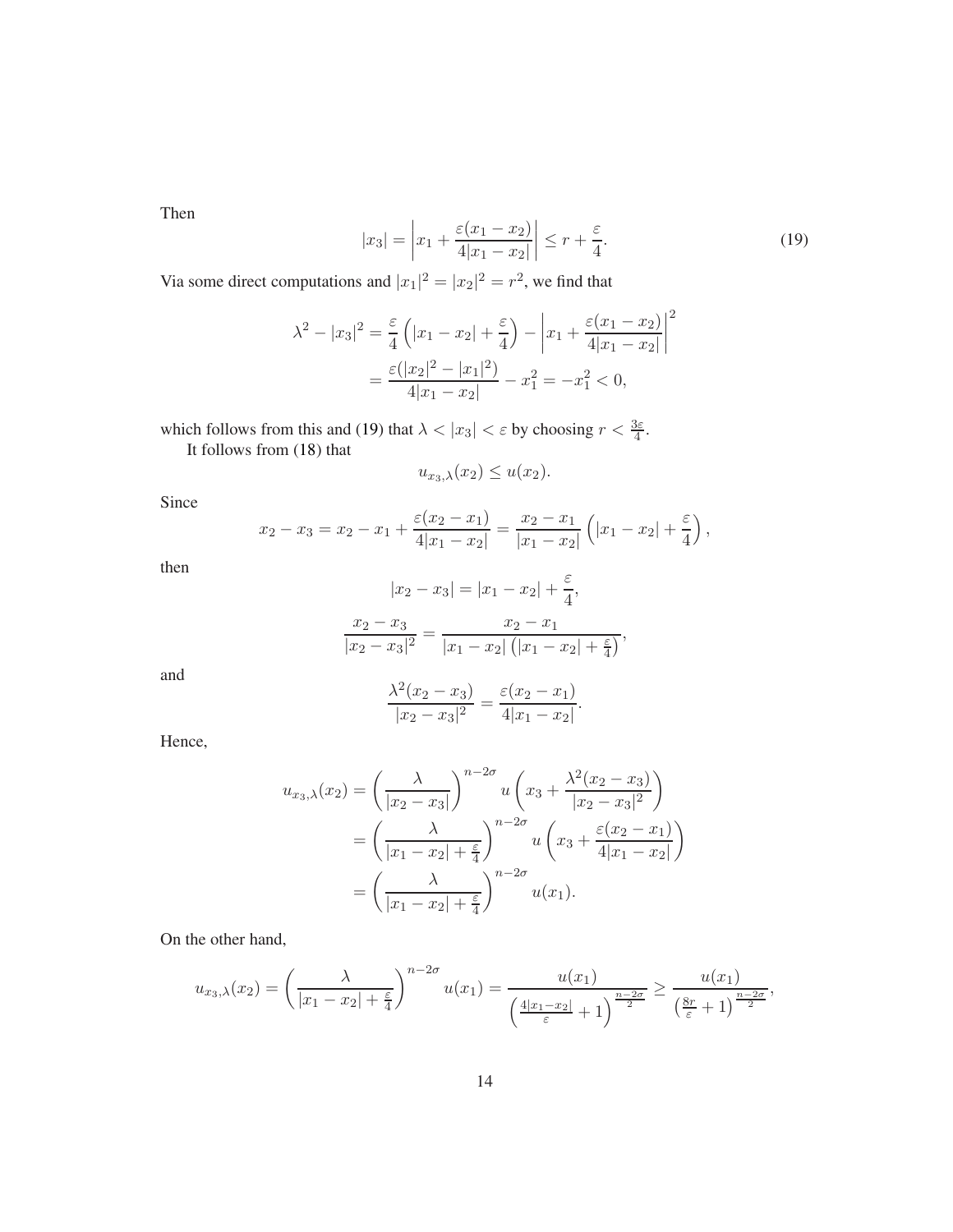Then

<span id="page-13-0"></span>
$$
|x_3| = \left| x_1 + \frac{\varepsilon (x_1 - x_2)}{4|x_1 - x_2|} \right| \le r + \frac{\varepsilon}{4}.
$$
 (19)

Via some direct computations and  $|x_1|^2 = |x_2|^2 = r^2$ , we find that

$$
\lambda^{2} - |x_{3}|^{2} = \frac{\varepsilon}{4} \left( |x_{1} - x_{2}| + \frac{\varepsilon}{4} \right) - \left| x_{1} + \frac{\varepsilon (x_{1} - x_{2})}{4 |x_{1} - x_{2}|} \right|^{2}
$$

$$
= \frac{\varepsilon (|x_{2}|^{2} - |x_{1}|^{2})}{4 |x_{1} - x_{2}|} - x_{1}^{2} = -x_{1}^{2} < 0,
$$

which follows from this and [\(19\)](#page-13-0) that  $\lambda < |x_3| < \varepsilon$  by choosing  $r < \frac{3\varepsilon}{4}$ .

It follows from [\(18\)](#page-12-1) that

$$
u_{x_3,\lambda}(x_2) \le u(x_2).
$$

Since

$$
x_2 - x_3 = x_2 - x_1 + \frac{\varepsilon (x_2 - x_1)}{4|x_1 - x_2|} = \frac{x_2 - x_1}{|x_1 - x_2|} \left( |x_1 - x_2| + \frac{\varepsilon}{4} \right),
$$

then

$$
|x_2 - x_3| = |x_1 - x_2| + \frac{\varepsilon}{4},
$$
  

$$
\frac{x_2 - x_3}{|x_2 - x_3|^2} = \frac{x_2 - x_1}{|x_1 - x_2| (|x_1 - x_2| + \frac{\varepsilon}{4})},
$$

and

$$
\frac{\lambda^2(x_2 - x_3)}{|x_2 - x_3|^2} = \frac{\varepsilon(x_2 - x_1)}{4|x_1 - x_2|}.
$$

Hence,

$$
u_{x_3,\lambda}(x_2) = \left(\frac{\lambda}{|x_2 - x_3|}\right)^{n-2\sigma} u\left(x_3 + \frac{\lambda^2(x_2 - x_3)}{|x_2 - x_3|^2}\right)
$$
  
= 
$$
\left(\frac{\lambda}{|x_1 - x_2| + \frac{\varepsilon}{4}}\right)^{n-2\sigma} u\left(x_3 + \frac{\varepsilon(x_2 - x_1)}{4|x_1 - x_2|}\right)
$$
  
= 
$$
\left(\frac{\lambda}{|x_1 - x_2| + \frac{\varepsilon}{4}}\right)^{n-2\sigma} u(x_1).
$$

On the other hand,

$$
u_{x_3,\lambda}(x_2)=\left(\frac{\lambda}{|x_1-x_2|+\frac{\varepsilon}{4}}\right)^{n-2\sigma}u(x_1)=\frac{u(x_1)}{\left(\frac{4|x_1-x_2|}{\varepsilon}+1\right)^{\frac{n-2\sigma}{2}}}\geq \frac{u(x_1)}{\left(\frac{8r}{\varepsilon}+1\right)^{\frac{n-2\sigma}{2}}},
$$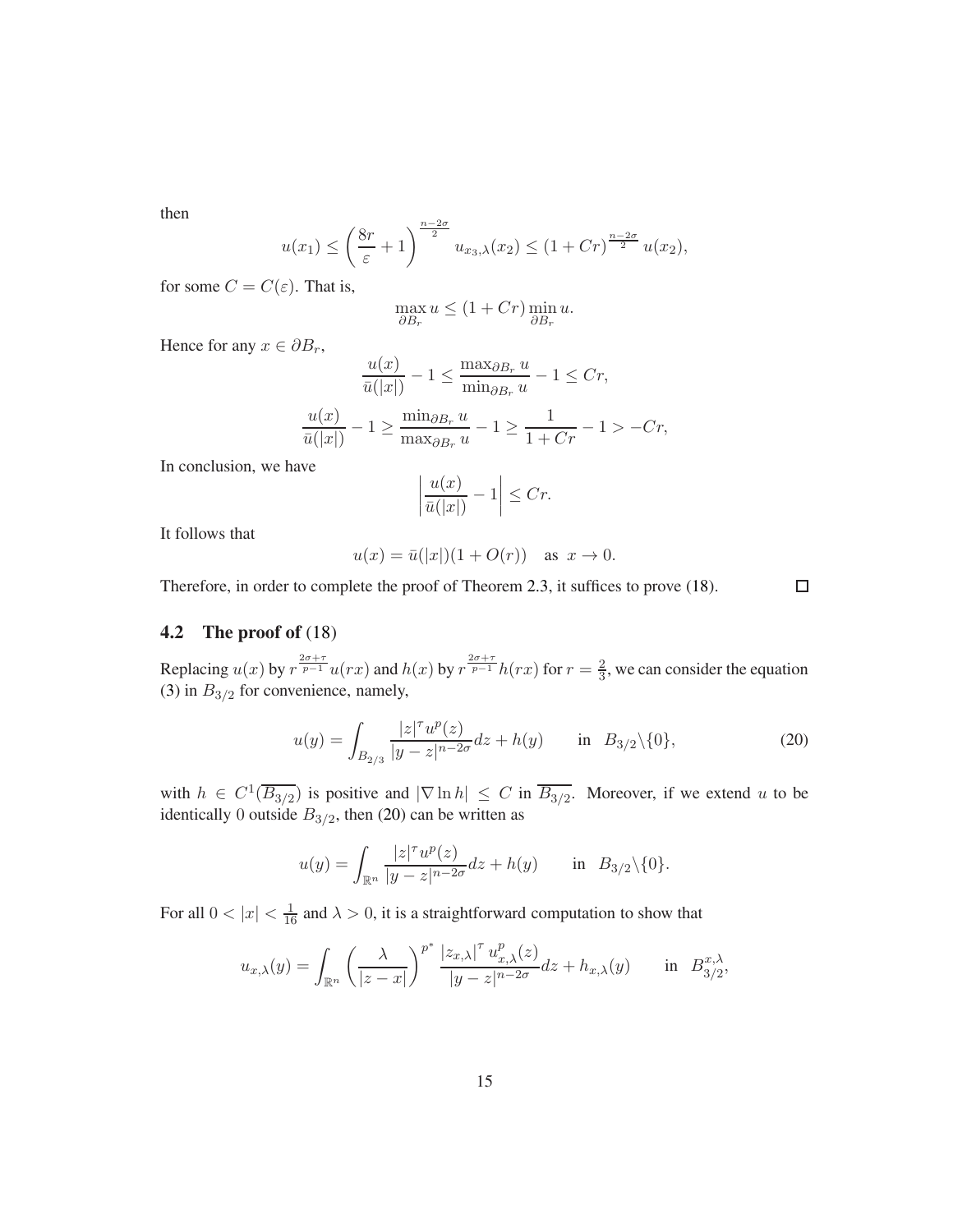then

$$
u(x_1) \le \left(\frac{8r}{\varepsilon} + 1\right)^{\frac{n-2\sigma}{2}} u_{x_3,\lambda}(x_2) \le (1 + Cr)^{\frac{n-2\sigma}{2}} u(x_2),
$$

for some  $C = C(\varepsilon)$ . That is,

$$
\max_{\partial B_r} u \le (1 + Cr) \min_{\partial B_r} u.
$$

Hence for any  $x \in \partial B_r$ ,

$$
\frac{u(x)}{\bar{u}(|x|)} - 1 \le \frac{\max_{\partial B_r} u}{\min_{\partial B_r} u} - 1 \le Cr,
$$

$$
\frac{u(x)}{\bar{u}(|x|)} - 1 \ge \frac{\min_{\partial B_r} u}{\max_{\partial B_r} u} - 1 \ge \frac{1}{1 + Cr} - 1 > -Cr,
$$

In conclusion, we have

$$
\left|\frac{u(x)}{\bar{u}(|x|)}-1\right| \le Cr.
$$

It follows that

$$
u(x) = \bar{u}(|x|)(1 + O(r)) \quad \text{as } x \to 0.
$$

Therefore, in order to complete the proof of Theorem [2.3,](#page-3-3) it suffices to prove [\(18\)](#page-12-1).

# $\Box$

### 4.2 The proof of [\(18\)](#page-12-1)

Replacing  $u(x)$  by  $r^{\frac{2\sigma+\tau}{p-1}}u(rx)$  and  $h(x)$  by  $r^{\frac{2\sigma+\tau}{p-1}}h(rx)$  for  $r=\frac{2}{3}$  $\frac{2}{3}$ , we can consider the equation [\(3\)](#page-3-1) in  $B_{3/2}$  for convenience, namely,

<span id="page-14-0"></span>
$$
u(y) = \int_{B_{2/3}} \frac{|z|^{\tau} u^p(z)}{|y - z|^{n - 2\sigma}} dz + h(y) \quad \text{in} \quad B_{3/2} \setminus \{0\},\tag{20}
$$

with  $h \in C^1(\overline{B_{3/2}})$  is positive and  $|\nabla \ln h| \leq C$  in  $\overline{B_{3/2}}$ . Moreover, if we extend u to be identically 0 outside  $B_{3/2}$ , then [\(20\)](#page-14-0) can be written as

$$
u(y) = \int_{\mathbb{R}^n} \frac{|z|^{\tau} u^p(z)}{|y - z|^{n - 2\sigma}} dz + h(y) \quad \text{in} \quad B_{3/2} \backslash \{0\}.
$$

For all  $0 < |x| < \frac{1}{16}$  and  $\lambda > 0$ , it is a straightforward computation to show that

$$
u_{x,\lambda}(y) = \int_{\mathbb{R}^n} \left( \frac{\lambda}{|z-x|} \right)^{p^*} \frac{|z_{x,\lambda}|^{\tau} u_{x,\lambda}^p(z)}{|y-z|^{n-2\sigma}} dz + h_{x,\lambda}(y) \quad \text{in} \quad B_{3/2}^{x,\lambda},
$$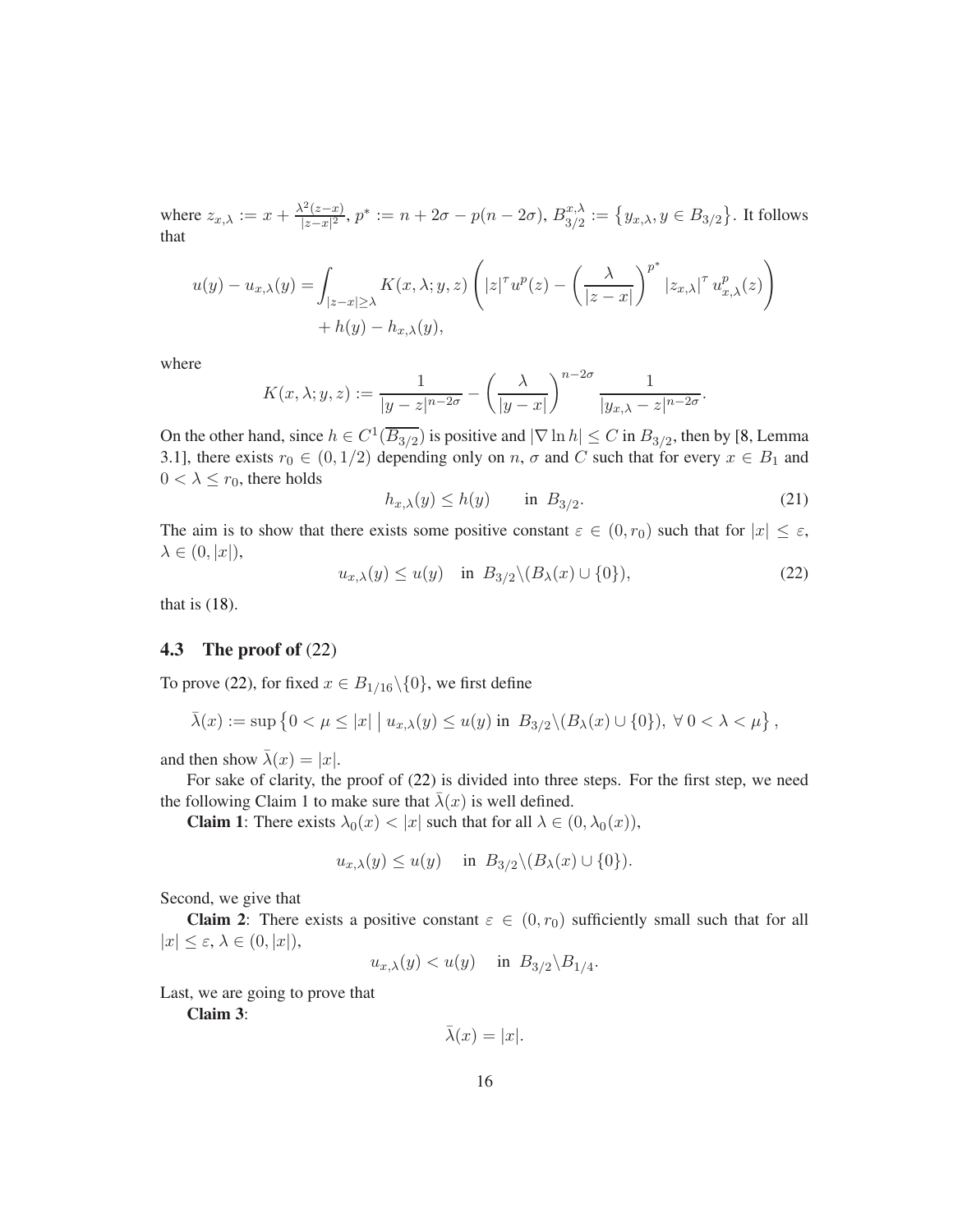where  $z_{x,\lambda} := x + \frac{\lambda^2(z-x)}{|z-x|^2}$  $\frac{d^2(z-x)}{|z-x|^2}, p^* := n + 2\sigma - p(n-2\sigma),$   $B^{x,\lambda}_{3/2}$  $\{x^{, \lambda}_{3/2}:=\left\{y_{x, \lambda}, y\in B_{3/2}\right\}$ . It follows that

$$
u(y) - u_{x,\lambda}(y) = \int_{|z-x| \ge \lambda} K(x,\lambda; y, z) \left( |z|^\tau u^p(z) - \left( \frac{\lambda}{|z-x|} \right)^{p^*} |z_{x,\lambda}|^\tau u^p_{x,\lambda}(z) \right) + h(y) - h_{x,\lambda}(y),
$$

where

$$
K(x,\lambda;y,z) := \frac{1}{|y-z|^{n-2\sigma}} - \left(\frac{\lambda}{|y-x|}\right)^{n-2\sigma} \frac{1}{|y_{x,\lambda}-z|^{n-2\sigma}}.
$$

On the other hand, since  $h \in C^1(\overline{B_{3/2}})$  is positive and  $|\nabla \ln h| \le C$  in  $B_{3/2}$ , then by [\[8,](#page-21-0) Lemma 3.1], there exists  $r_0 \in (0, 1/2)$  depending only on n,  $\sigma$  and C such that for every  $x \in B_1$  and  $0 < \lambda \leq r_0$ , there holds

<span id="page-15-1"></span>
$$
h_{x,\lambda}(y) \le h(y) \qquad \text{in } B_{3/2}.\tag{21}
$$

The aim is to show that there exists some positive constant  $\varepsilon \in (0, r_0)$  such that for  $|x| \leq \varepsilon$ ,  $\lambda \in (0, |x|),$ 

<span id="page-15-0"></span>
$$
u_{x,\lambda}(y) \le u(y) \quad \text{in } B_{3/2} \setminus (B_\lambda(x) \cup \{0\}), \tag{22}
$$

that is [\(18\)](#page-12-1).

### 4.3 The proof of [\(22\)](#page-15-0)

To prove [\(22\)](#page-15-0), for fixed  $x \in B_{1/16} \setminus \{0\}$ , we first define

$$
\bar{\lambda}(x) := \sup \left\{ 0 < \mu \leq |x| \mid u_{x,\lambda}(y) \leq u(y) \text{ in } B_{3/2} \setminus (B_\lambda(x) \cup \{0\}), \ \forall \ 0 < \lambda < \mu \right\},
$$

and then show  $\bar{\lambda}(x) = |x|$ .

For sake of clarity, the proof of [\(22\)](#page-15-0) is divided into three steps. For the first step, we need the following Claim 1 to make sure that  $\lambda(x)$  is well defined.

**Claim 1:** There exists  $\lambda_0(x) < |x|$  such that for all  $\lambda \in (0, \lambda_0(x)),$ 

$$
u_{x,\lambda}(y) \le u(y)
$$
 in  $B_{3/2} \setminus (B_{\lambda}(x) \cup \{0\}).$ 

Second, we give that

**Claim 2:** There exists a positive constant  $\varepsilon \in (0, r_0)$  sufficiently small such that for all  $|x| \leq \varepsilon, \lambda \in (0, |x|),$ 

$$
u_{x,\lambda}(y) < u(y) \quad \text{ in } B_{3/2} \backslash B_{1/4}.
$$

Last, we are going to prove that

Claim 3:

 $\bar{\lambda}(x) = |x|.$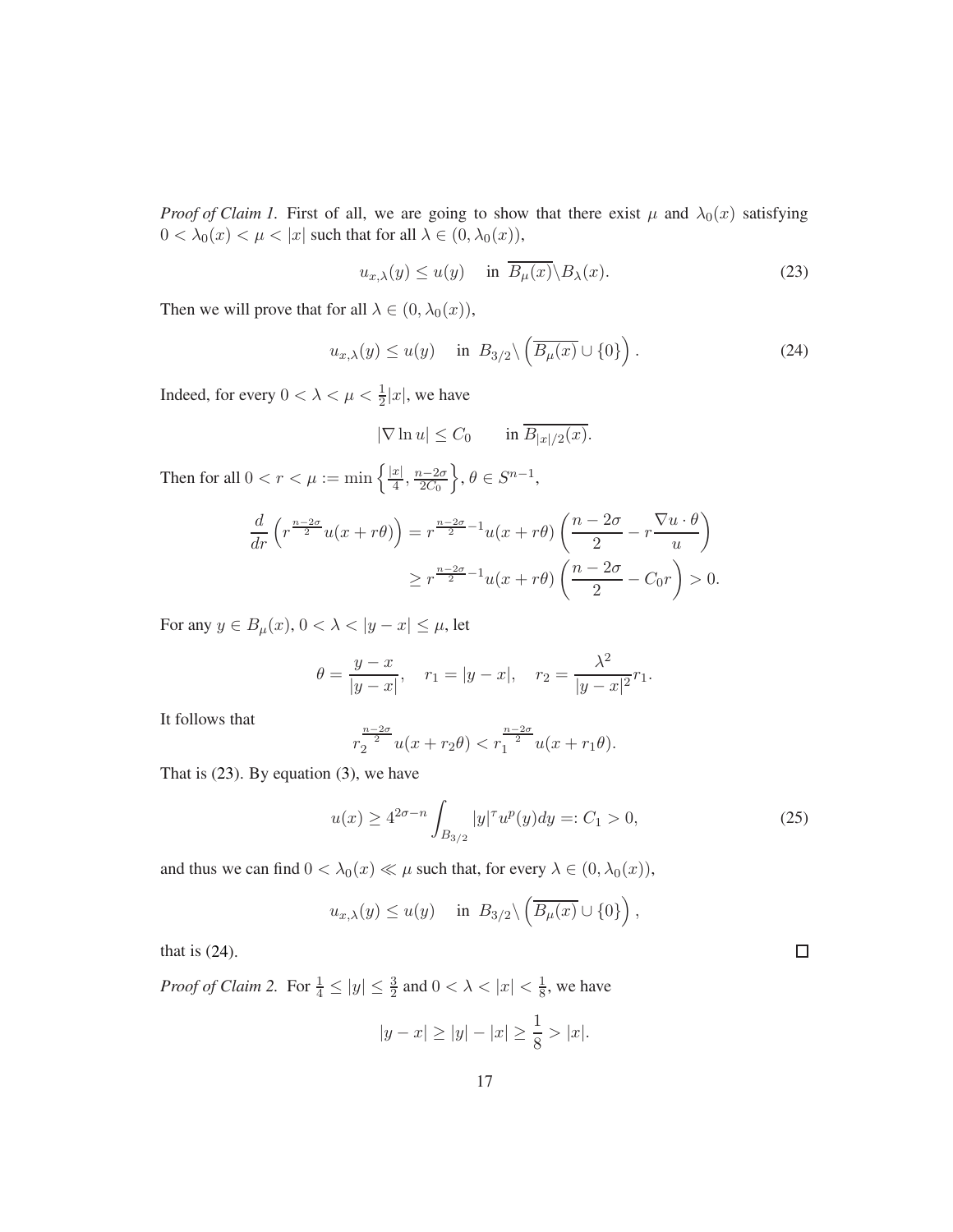*Proof of Claim 1.* First of all, we are going to show that there exist  $\mu$  and  $\lambda_0(x)$  satisfying  $0 < \lambda_0(x) < \mu < |x|$  such that for all  $\lambda \in (0, \lambda_0(x)),$ 

<span id="page-16-0"></span>
$$
u_{x,\lambda}(y) \le u(y) \quad \text{in } \overline{B_{\mu}(x)} \setminus B_{\lambda}(x). \tag{23}
$$

Then we will prove that for all  $\lambda \in (0, \lambda_0(x)),$ 

<span id="page-16-1"></span>
$$
u_{x,\lambda}(y) \le u(y) \quad \text{in } B_{3/2} \setminus \left( \overline{B_{\mu}(x)} \cup \{0\} \right). \tag{24}
$$

Indeed, for every  $0 < \lambda < \mu < \frac{1}{2}|x|$ , we have

$$
|\nabla \ln u| \le C_0 \qquad \text{in } \overline{B_{|x|/2}(x)}.
$$

Then for all  $0 < r < \mu := \min \left\{ \frac{|x|}{4} \right\}$  $rac{x|}{4}$ ,  $rac{n-2\sigma}{2C_0}$  $2C_0$  $\big\}, \theta \in S^{n-1},$ 

$$
\frac{d}{dr}\left(r^{\frac{n-2\sigma}{2}}u(x+r\theta)\right) = r^{\frac{n-2\sigma}{2}-1}u(x+r\theta)\left(\frac{n-2\sigma}{2}-r\frac{\nabla u\cdot\theta}{u}\right)
$$

$$
\geq r^{\frac{n-2\sigma}{2}-1}u(x+r\theta)\left(\frac{n-2\sigma}{2}-C_0r\right) > 0.
$$

For any  $y \in B_{\mu}(x)$ ,  $0 < \lambda < |y - x| \leq \mu$ , let

$$
\theta = \frac{y - x}{|y - x|}, \quad r_1 = |y - x|, \quad r_2 = \frac{\lambda^2}{|y - x|^2} r_1.
$$

It follows that

$$
r_2^{\frac{n-2\sigma}{2}}u(x+r_2\theta) < r_1^{\frac{n-2\sigma}{2}}u(x+r_1\theta).
$$

That is [\(23\)](#page-16-0). By equation [\(3\)](#page-3-1), we have

<span id="page-16-2"></span>
$$
u(x) \ge 4^{2\sigma - n} \int_{B_{3/2}} |y|^\tau u^p(y) dy =: C_1 > 0,
$$
\n(25)

 $\Box$ 

and thus we can find  $0 < \lambda_0(x) \ll \mu$  such that, for every  $\lambda \in (0, \lambda_0(x)),$ 

$$
u_{x,\lambda}(y) \le u(y)
$$
 in  $B_{3/2} \setminus \left( \overline{B_{\mu}(x)} \cup \{0\} \right)$ ,

that is [\(24\)](#page-16-1).

*Proof of Claim 2.* For  $\frac{1}{4} \le |y| \le \frac{3}{2}$  and  $0 < \lambda < |x| < \frac{1}{8}$  $\frac{1}{8}$ , we have

$$
|y - x| \ge |y| - |x| \ge \frac{1}{8} > |x|.
$$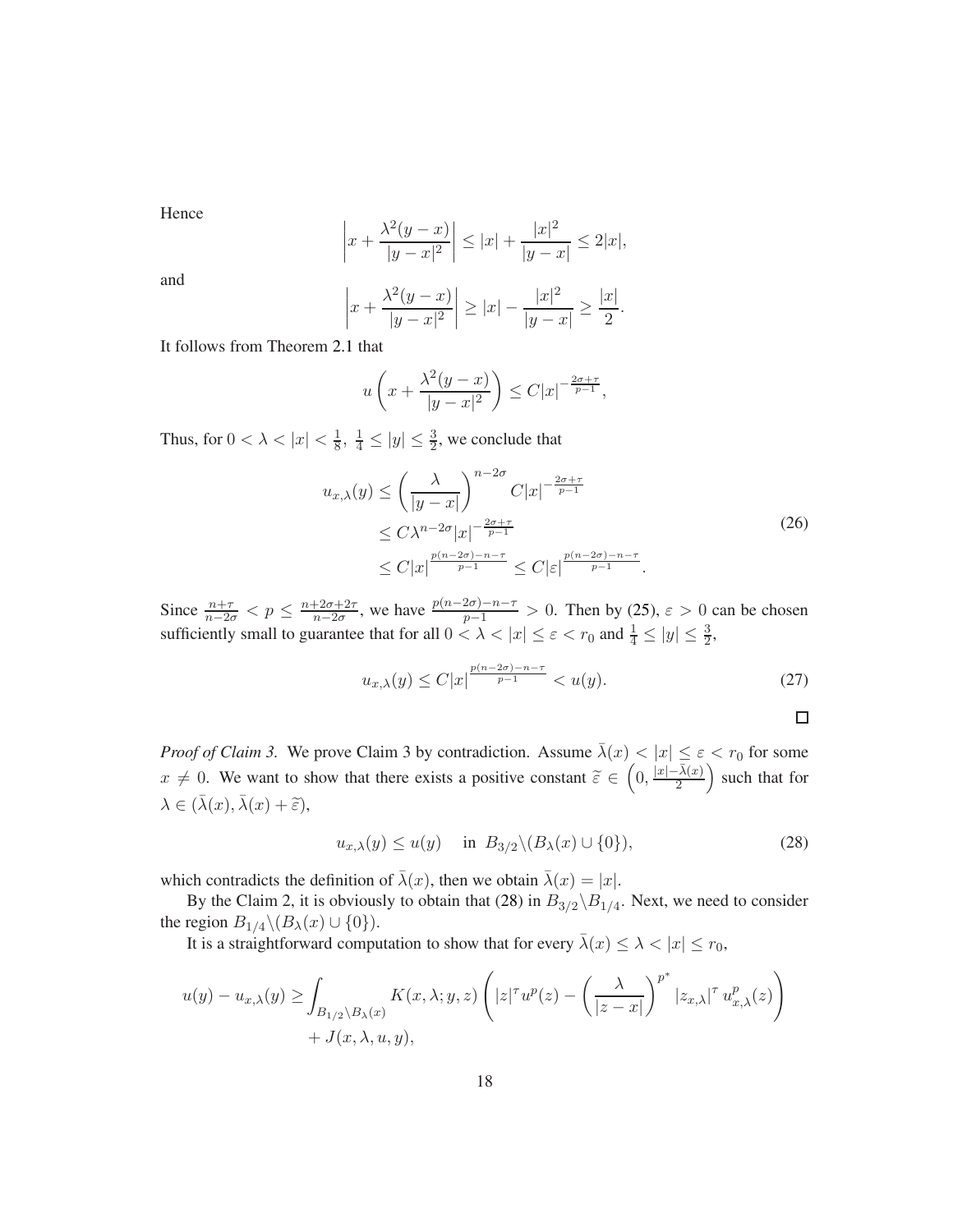Hence

$$
\left| x + \frac{\lambda^2 (y - x)}{|y - x|^2} \right| \le |x| + \frac{|x|^2}{|y - x|} \le 2|x|,
$$

and

$$
\left| x + \frac{\lambda^2(y - x)}{|y - x|^2} \right| \ge |x| - \frac{|x|^2}{|y - x|} \ge \frac{|x|}{2}.
$$

It follows from Theorem [2.1](#page-3-2) that

$$
u\left(x + \frac{\lambda^2(y-x)}{|y-x|^2}\right) \le C|x|^{-\frac{2\sigma + \tau}{p-1}},
$$

Thus, for  $0 < \lambda < |x| < \frac{1}{8}$  $\frac{1}{8}$ ,  $\frac{1}{4} \le |y| \le \frac{3}{2}$ , we conclude that

$$
u_{x,\lambda}(y) \le \left(\frac{\lambda}{|y-x|}\right)^{n-2\sigma} C|x|^{-\frac{2\sigma+\tau}{p-1}}
$$
  
\n
$$
\le C\lambda^{n-2\sigma}|x|^{-\frac{2\sigma+\tau}{p-1}}
$$
  
\n
$$
\le C|x|^{\frac{p(n-2\sigma)-n-\tau}{p-1}} \le C|\varepsilon|^{\frac{p(n-2\sigma)-n-\tau}{p-1}}.
$$
\n(26)

<span id="page-17-1"></span>Since  $\frac{n+\tau}{n-2\sigma} < p \leq \frac{n+2\sigma+2\tau}{n-2\sigma}$  $\frac{p+2\sigma+2\tau}{n-2\sigma}$ , we have  $\frac{p(n-2\sigma)-n-\tau}{p-1} > 0$ . Then by [\(25\)](#page-16-2),  $\varepsilon > 0$  can be chosen sufficiently small to guarantee that for all  $0 < \lambda < |x| \le \varepsilon < r_0$  and  $\frac{1}{4} \le |y| \le \frac{3}{2}$ ,

$$
u_{x,\lambda}(y) \le C|x|^{\frac{p(n-2\sigma)-n-\tau}{p-1}} < u(y). \tag{27}
$$

$$
\Box
$$

*Proof of Claim 3.* We prove Claim 3 by contradiction. Assume  $\bar{\lambda}(x) < |x| \le \varepsilon < r_0$  for some  $x \neq 0$ . We want to show that there exists a positive constant  $\tilde{\varepsilon} \in \left(0, \frac{|x| - \bar{\lambda}(x)}{2}\right)$ 2 such that for  $\lambda \in (\bar{\lambda}(x), \bar{\lambda}(x) + \tilde{\varepsilon}),$ 

<span id="page-17-0"></span>
$$
u_{x,\lambda}(y) \le u(y) \quad \text{in } B_{3/2} \setminus (B_\lambda(x) \cup \{0\}), \tag{28}
$$

which contradicts the definition of  $\lambda(x)$ , then we obtain  $\lambda(x) = |x|$ .

By the Claim 2, it is obviously to obtain that [\(28\)](#page-17-0) in  $B_{3/2} \backslash B_{1/4}$ . Next, we need to consider the region  $B_{1/4} \setminus (B_{\lambda}(x) \cup \{0\}).$ 

It is a straightforward computation to show that for every  $\bar{\lambda}(x) \leq \lambda < |x| \leq r_0$ ,

$$
u(y) - u_{x,\lambda}(y) \ge \int_{B_{1/2} \setminus B_{\lambda}(x)} K(x,\lambda;y,z) \left( |z|^\tau u^p(z) - \left( \frac{\lambda}{|z-x|} \right)^{p^*} |z_{x,\lambda}|^\tau u_{x,\lambda}^p(z) \right) + J(x,\lambda,u,y),
$$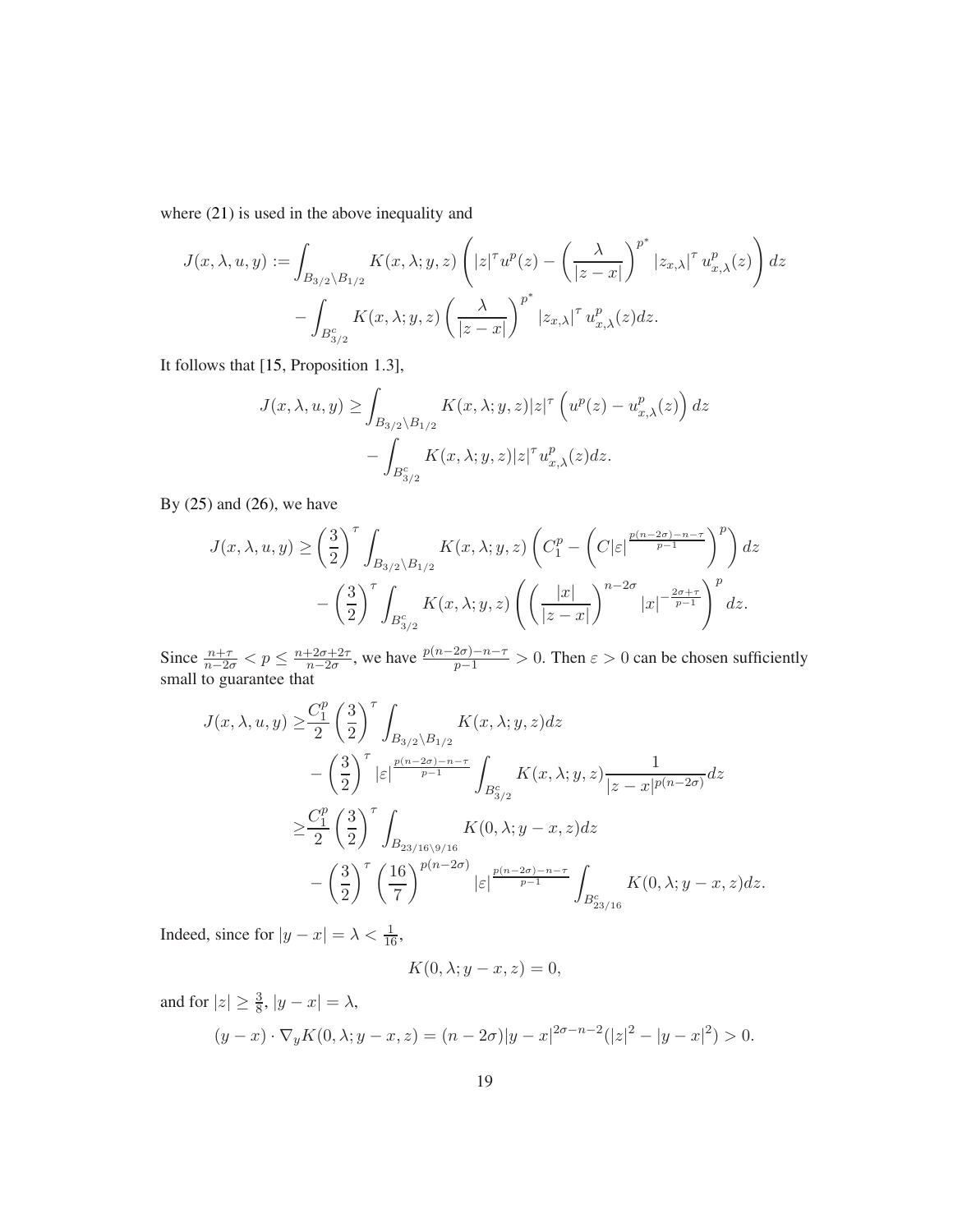where [\(21\)](#page-15-1) is used in the above inequality and

$$
J(x, \lambda, u, y) := \int_{B_{3/2} \backslash B_{1/2}} K(x, \lambda; y, z) \left( |z|^{\tau} u^{p}(z) - \left( \frac{\lambda}{|z - x|} \right)^{p^{*}} |z_{x, \lambda}|^{\tau} u^{p}_{x, \lambda}(z) \right) dz - \int_{B_{3/2}^{c}} K(x, \lambda; y, z) \left( \frac{\lambda}{|z - x|} \right)^{p^{*}} |z_{x, \lambda}|^{\tau} u^{p}_{x, \lambda}(z) dz.
$$

It follows that [\[15,](#page-22-4) Proposition 1.3],

$$
J(x, \lambda, u, y) \ge \int_{B_{3/2} \setminus B_{1/2}} K(x, \lambda; y, z) |z|^\tau \left( u^p(z) - u^p_{x, \lambda}(z) \right) dz
$$

$$
- \int_{B_{3/2}^c} K(x, \lambda; y, z) |z|^\tau u^p_{x, \lambda}(z) dz.
$$

By [\(25\)](#page-16-2) and [\(26\)](#page-17-1), we have

$$
J(x, \lambda, u, y) \ge \left(\frac{3}{2}\right)^{\tau} \int_{B_{3/2} \backslash B_{1/2}} K(x, \lambda; y, z) \left(C_1^p - \left(C|\varepsilon|^{\frac{p(n-2\sigma)-n-\tau}{p-1}}\right)^p\right) dz
$$

$$
-\left(\frac{3}{2}\right)^{\tau} \int_{B_{3/2}^c} K(x, \lambda; y, z) \left(\left(\frac{|x|}{|z-x|}\right)^{n-2\sigma} |x|^{-\frac{2\sigma+\tau}{p-1}}\right)^p dz.
$$

Since  $\frac{n+\tau}{n-2\sigma} < p \leq \frac{n+2\sigma+2\tau}{n-2\sigma}$  $\frac{+2\sigma+2\tau}{n-2\sigma}$ , we have  $\frac{p(n-2\sigma)-n-\tau}{p-1} > 0$ . Then  $\varepsilon > 0$  can be chosen sufficiently small to guarantee that

$$
J(x, \lambda, u, y) \ge \frac{C_1^p}{2} \left(\frac{3}{2}\right)^\tau \int_{B_{3/2} \setminus B_{1/2}} K(x, \lambda; y, z) dz
$$
  
 
$$
- \left(\frac{3}{2}\right)^\tau |\varepsilon| \frac{\frac{p(n-2\sigma)-n-\tau}{p-1}}{p-1} \int_{B_{3/2}^c} K(x, \lambda; y, z) \frac{1}{|z-x|^{p(n-2\sigma)}} dz
$$
  
 
$$
\ge \frac{C_1^p}{2} \left(\frac{3}{2}\right)^\tau \int_{B_{23/16} \setminus 9/16} K(0, \lambda; y-x, z) dz
$$
  
 
$$
- \left(\frac{3}{2}\right)^\tau \left(\frac{16}{7}\right)^{p(n-2\sigma)} |\varepsilon| \frac{\frac{p(n-2\sigma)-n-\tau}{p-1}}{p-1} \int_{B_{23/16}^c} K(0, \lambda; y-x, z) dz.
$$

Indeed, since for  $|y - x| = \lambda < \frac{1}{16}$ ,

$$
K(0, \lambda; y - x, z) = 0,
$$

and for  $|z| \geq \frac{3}{8}$ ,  $|y - x| = \lambda$ ,

$$
(y-x)\cdot \nabla_y K(0,\lambda;y-x,z) = (n-2\sigma)|y-x|^{2\sigma-n-2}(|z|^2-|y-x|^2) > 0.
$$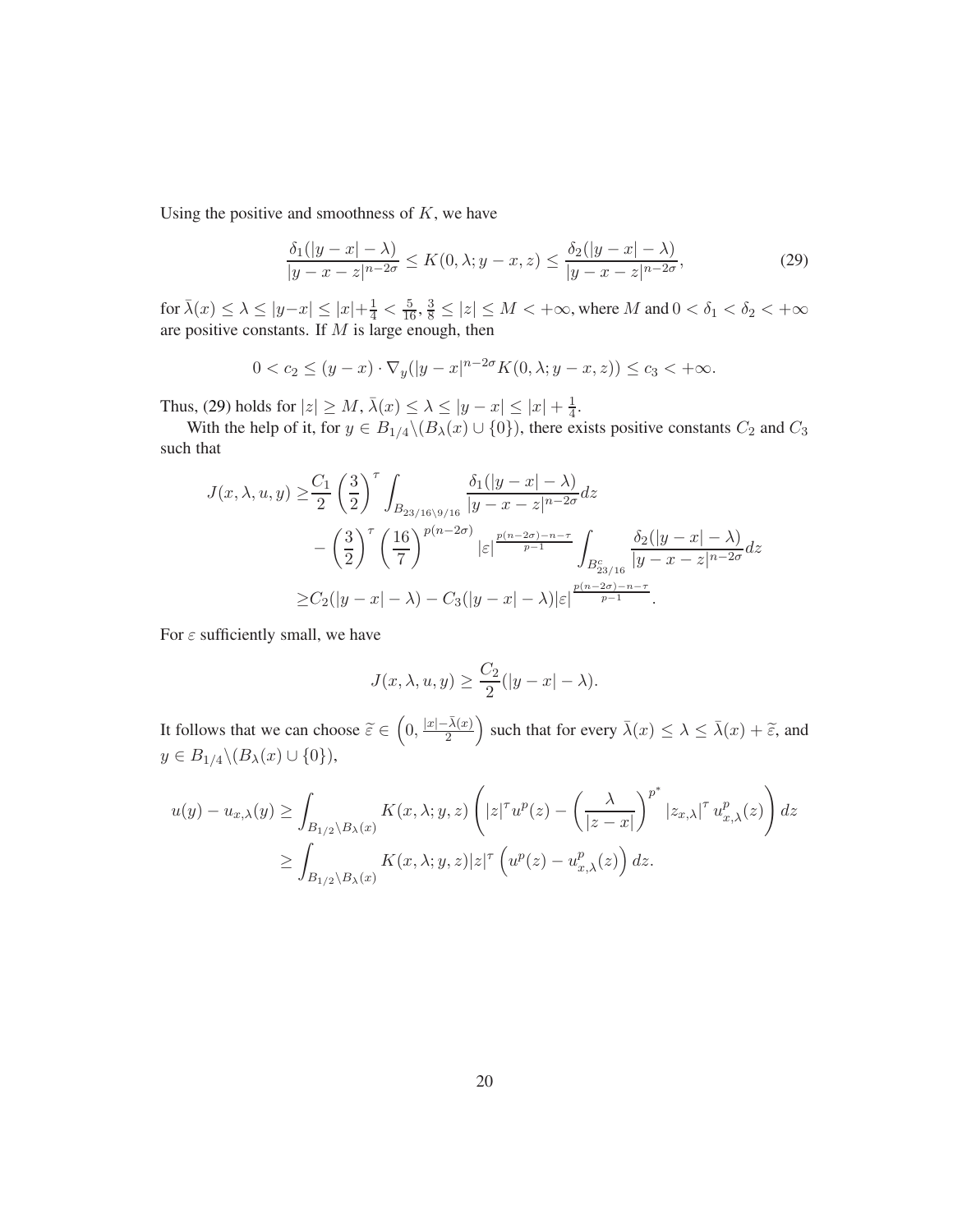Using the positive and smoothness of  $K$ , we have

<span id="page-19-0"></span>
$$
\frac{\delta_1(|y-x|-\lambda)}{|y-x-z|^{n-2\sigma}} \le K(0,\lambda; y-x,z) \le \frac{\delta_2(|y-x|-\lambda)}{|y-x-z|^{n-2\sigma}},
$$
\n(29)

for  $\bar{\lambda}(x) \leq \lambda \leq |y-x| \leq |x| + \frac{1}{4} < \frac{5}{16}, \frac{3}{8} \leq |z| \leq M < +\infty$ , where M and  $0 < \delta_1 < \delta_2 < +\infty$ are positive constants. If  $M$  is large enough, then

$$
0 < c_2 \le (y - x) \cdot \nabla_y (|y - x|^{n - 2\sigma} K(0, \lambda; y - x, z)) \le c_3 < +\infty.
$$

Thus, [\(29\)](#page-19-0) holds for  $|z| \ge M$ ,  $\bar{\lambda}(x) \le \lambda \le |y - x| \le |x| + \frac{1}{4}$  $\frac{1}{4}$ .

With the help of it, for  $y \in B_{1/4} \setminus (B_\lambda(x) \cup \{0\})$ , there exists positive constants  $C_2$  and  $C_3$ such that

$$
J(x, \lambda, u, y) \geq \frac{C_1}{2} \left(\frac{3}{2}\right)^{\tau} \int_{B_{23/16\backslash 9/16}} \frac{\delta_1(|y-x| - \lambda)}{|y - x - z|^{n - 2\sigma}} dz
$$
  
-  $\left(\frac{3}{2}\right)^{\tau} \left(\frac{16}{7}\right)^{p(n - 2\sigma)} |\varepsilon|^{\frac{p(n - 2\sigma) - n - \tau}{p - 1}} \int_{B_{23/16}^c} \frac{\delta_2(|y - x| - \lambda)}{|y - x - z|^{n - 2\sigma}} dz$   

$$
\geq C_2(|y - x| - \lambda) - C_3(|y - x| - \lambda) |\varepsilon|^{\frac{p(n - 2\sigma) - n - \tau}{p - 1}}.
$$

For  $\varepsilon$  sufficiently small, we have

$$
J(x, \lambda, u, y) \ge \frac{C_2}{2}(|y - x| - \lambda).
$$

It follows that we can choose  $\tilde{\varepsilon} \in \left(0, \frac{|x| - \bar{\lambda}(x)}{2}\right)$ 2 ) such that for every  $\bar{\lambda}(x) \leq \lambda \leq \bar{\lambda}(x) + \tilde{\varepsilon}$ , and  $y \in B_{1/4} \backslash (B_{\lambda}(x) \cup \{0\}),$ 

$$
u(y) - u_{x,\lambda}(y) \ge \int_{B_{1/2} \setminus B_{\lambda}(x)} K(x,\lambda;y,z) \left( |z|^{\tau} u^{p}(z) - \left(\frac{\lambda}{|z-x|}\right)^{p^{*}} |z_{x,\lambda}|^{\tau} u_{x,\lambda}^{p}(z) \right) dz
$$
  

$$
\ge \int_{B_{1/2} \setminus B_{\lambda}(x)} K(x,\lambda;y,z) |z|^{\tau} \left( u^{p}(z) - u_{x,\lambda}^{p}(z) \right) dz.
$$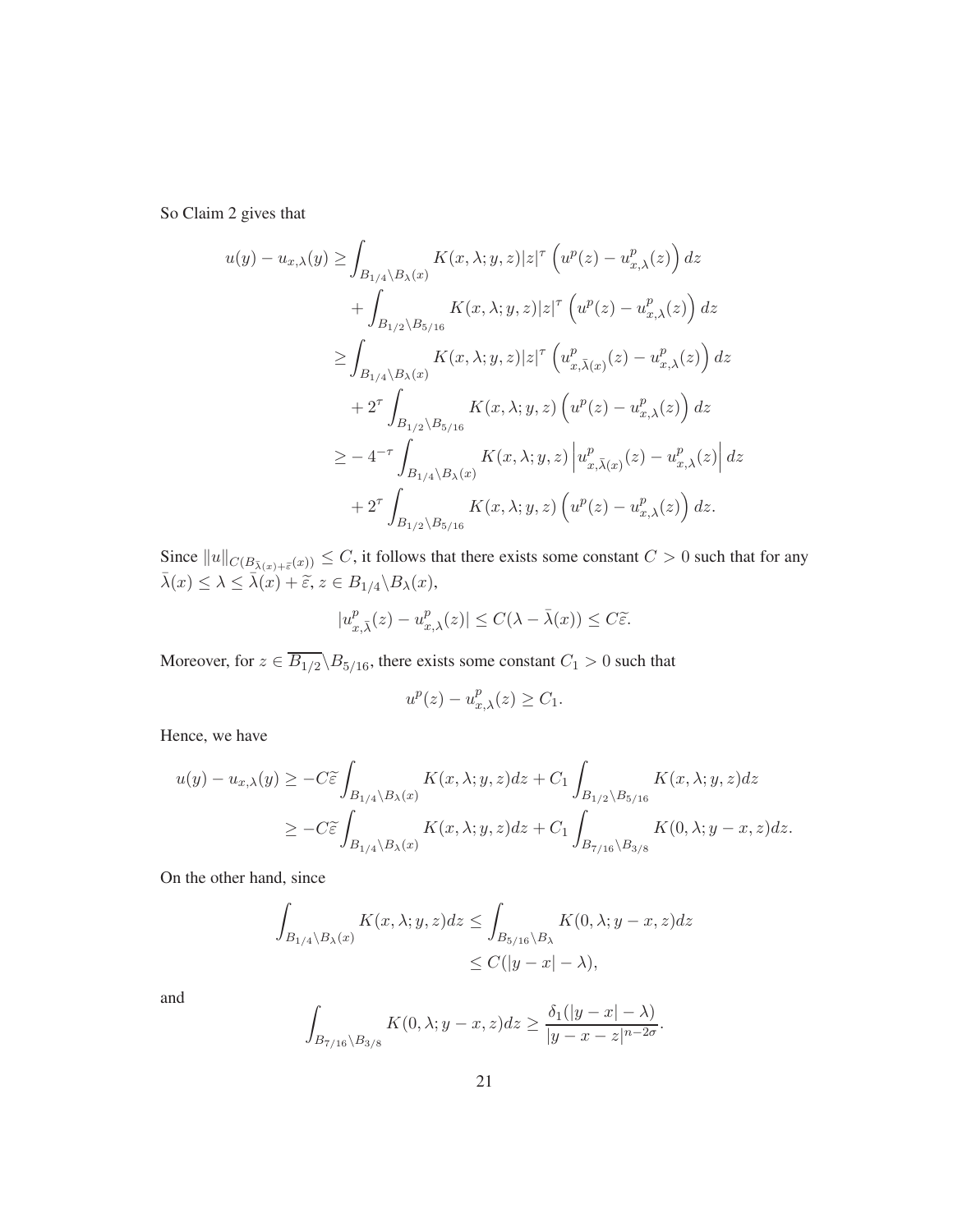So Claim 2 gives that

$$
u(y) - u_{x,\lambda}(y) \ge \int_{B_{1/4} \setminus B_{\lambda}(x)} K(x, \lambda; y, z) |z|^{\tau} \left( u^{p}(z) - u_{x,\lambda}^{p}(z) \right) dz + \int_{B_{1/2} \setminus B_{5/16}} K(x, \lambda; y, z) |z|^{\tau} \left( u^{p}(z) - u_{x,\lambda}^{p}(z) \right) dz \ge \int_{B_{1/4} \setminus B_{\lambda}(x)} K(x, \lambda; y, z) |z|^{\tau} \left( u_{x,\overline{\lambda}(x)}^{p}(z) - u_{x,\lambda}^{p}(z) \right) dz + 2^{\tau} \int_{B_{1/2} \setminus B_{5/16}} K(x, \lambda; y, z) \left( u^{p}(z) - u_{x,\lambda}^{p}(z) \right) dz \ge -4^{-\tau} \int_{B_{1/4} \setminus B_{\lambda}(x)} K(x, \lambda; y, z) \left| u_{x,\overline{\lambda}(x)}^{p}(z) - u_{x,\lambda}^{p}(z) \right| dz + 2^{\tau} \int_{B_{1/2} \setminus B_{5/16}} K(x, \lambda; y, z) \left( u^{p}(z) - u_{x,\lambda}^{p}(z) \right) dz.
$$

Since  $||u||_{C(B_{\bar{\lambda}(x)+\bar{\varepsilon}}(x))} \leq C$ , it follows that there exists some constant  $C > 0$  such that for any  $\bar{\lambda}(x) \leq \lambda \leq \bar{\lambda}(x) + \tilde{\varepsilon}, z \in B_{1/4} \backslash B_{\lambda}(x),$ 

$$
|u_{x,\bar{\lambda}}^p(z) - u_{x,\lambda}^p(z)| \le C(\lambda - \bar{\lambda}(x)) \le C\tilde{\varepsilon}.
$$

Moreover, for  $z \in \overline{B_{1/2}} \backslash B_{5/16}$ , there exists some constant  $C_1 > 0$  such that

$$
u^p(z) - u^p_{x,\lambda}(z) \ge C_1.
$$

Hence, we have

$$
u(y) - u_{x,\lambda}(y) \ge -C\tilde{\varepsilon} \int_{B_{1/4} \backslash B_{\lambda}(x)} K(x,\lambda;y,z)dz + C_1 \int_{B_{1/2} \backslash B_{5/16}} K(x,\lambda;y,z)dz
$$
  
 
$$
\ge -C\tilde{\varepsilon} \int_{B_{1/4} \backslash B_{\lambda}(x)} K(x,\lambda;y,z)dz + C_1 \int_{B_{7/16} \backslash B_{3/8}} K(0,\lambda;y-x,z)dz.
$$

On the other hand, since

$$
\int_{B_{1/4}\setminus B_{\lambda}(x)} K(x,\lambda;y,z)dz \le \int_{B_{5/16}\setminus B_{\lambda}} K(0,\lambda;y-x,z)dz
$$
  

$$
\le C(|y-x|-\lambda),
$$

and

$$
\int_{B_{7/16}\setminus B_{3/8}} K(0,\lambda;y-x,z)dz \ge \frac{\delta_1(|y-x|-\lambda)}{|y-x-z|^{n-2\sigma}}.
$$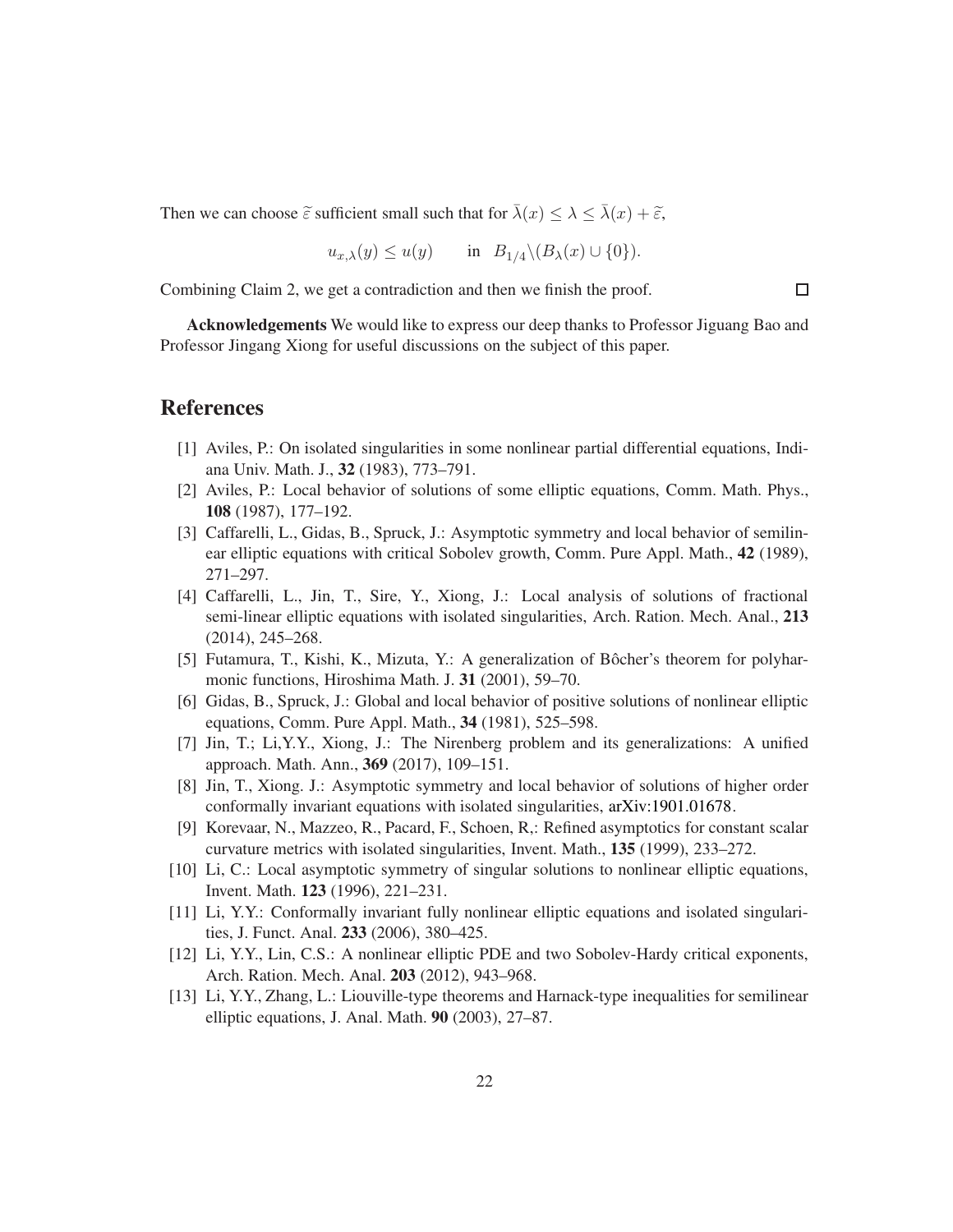Then we can choose  $\tilde{\varepsilon}$  sufficient small such that for  $\bar{\lambda}(x) \leq \lambda \leq \bar{\lambda}(x) + \tilde{\varepsilon}$ ,

$$
u_{x,\lambda}(y) \le u(y)
$$
 in  $B_{1/4} \setminus (B_{\lambda}(x) \cup \{0\}).$ 

Combining Claim 2, we get a contradiction and then we finish the proof.

Acknowledgements We would like to express our deep thanks to Professor Jiguang Bao and Professor Jingang Xiong for useful discussions on the subject of this paper.

### <span id="page-21-1"></span>References

- <span id="page-21-2"></span>[1] Aviles, P.: On isolated singularities in some nonlinear partial differential equations, Indiana Univ. Math. J., 32 (1983), 773–791.
- <span id="page-21-5"></span>[2] Aviles, P.: Local behavior of solutions of some elliptic equations, Comm. Math. Phys., 108 (1987), 177–192.
- [3] Caffarelli, L., Gidas, B., Spruck, J.: Asymptotic symmetry and local behavior of semilinear elliptic equations with critical Sobolev growth, Comm. Pure Appl. Math., 42 (1989), 271–297.
- <span id="page-21-7"></span>[4] Caffarelli, L., Jin, T., Sire, Y., Xiong, J.: Local analysis of solutions of fractional semi-linear elliptic equations with isolated singularities, Arch. Ration. Mech. Anal., 213 (2014), 245–268.
- <span id="page-21-12"></span><span id="page-21-3"></span>[5] Futamura, T., Kishi, K., Mizuta, Y.: A generalization of Bôcher's theorem for polyharmonic functions, Hiroshima Math. J. 31 (2001), 59–70.
- [6] Gidas, B., Spruck, J.: Global and local behavior of positive solutions of nonlinear elliptic equations, Comm. Pure Appl. Math., 34 (1981), 525–598.
- <span id="page-21-11"></span><span id="page-21-0"></span>[7] Jin, T.; Li,Y.Y., Xiong, J.: The Nirenberg problem and its generalizations: A unified approach. Math. Ann., 369 (2017), 109–151.
- <span id="page-21-4"></span>[8] Jin, T., Xiong. J.: Asymptotic symmetry and local behavior of solutions of higher order conformally invariant equations with isolated singularities, [arXiv:1901.01678.](http://arxiv.org/abs/1901.01678)
- [9] Korevaar, N., Mazzeo, R., Pacard, F., Schoen, R,: Refined asymptotics for constant scalar curvature metrics with isolated singularities, Invent. Math., 135 (1999), 233–272.
- <span id="page-21-6"></span>[10] Li, C.: Local asymptotic symmetry of singular solutions to nonlinear elliptic equations, Invent. Math. 123 (1996), 221–231.
- <span id="page-21-9"></span><span id="page-21-8"></span>[11] Li, Y.Y.: Conformally invariant fully nonlinear elliptic equations and isolated singularities, J. Funct. Anal. 233 (2006), 380–425.
- <span id="page-21-10"></span>[12] Li, Y.Y., Lin, C.S.: A nonlinear elliptic PDE and two Sobolev-Hardy critical exponents, Arch. Ration. Mech. Anal. 203 (2012), 943–968.
- [13] Li, Y.Y., Zhang, L.: Liouville-type theorems and Harnack-type inequalities for semilinear elliptic equations, J. Anal. Math. 90 (2003), 27–87.